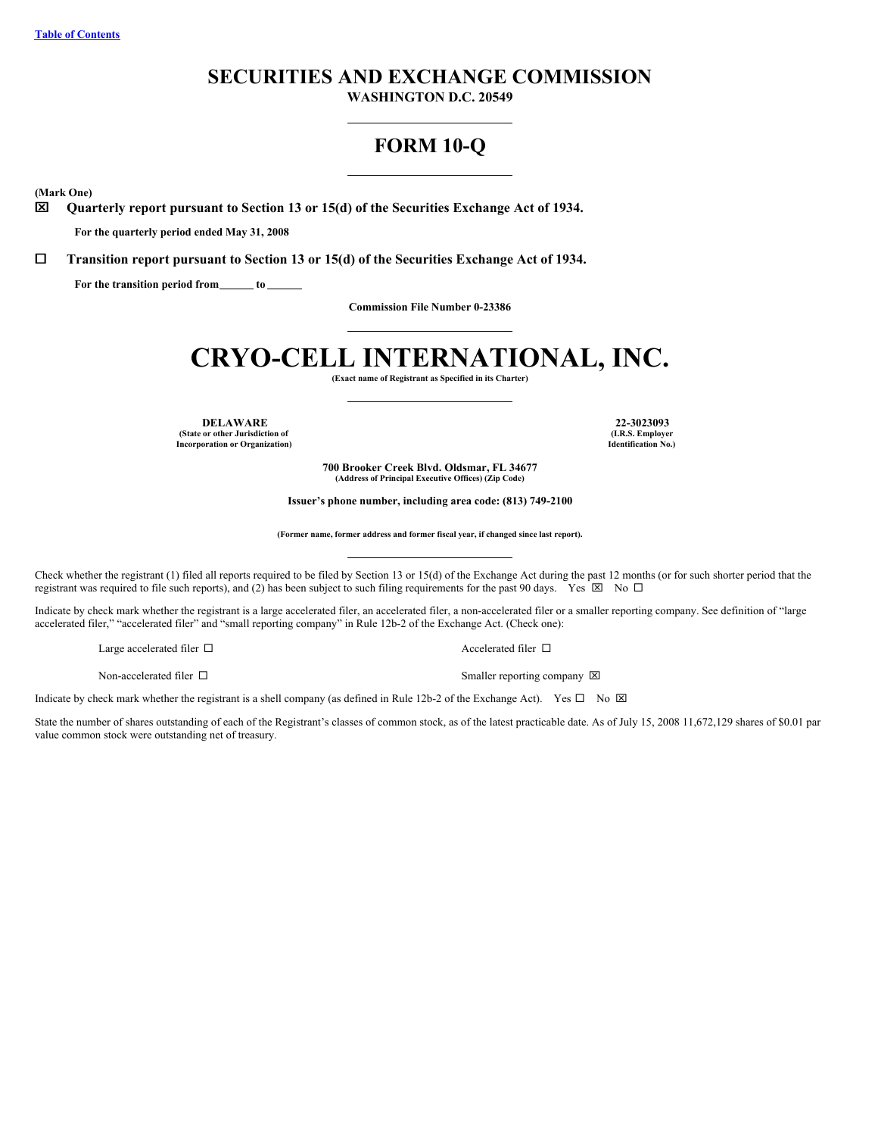## **SECURITIES AND EXCHANGE COMMISSION**

**WASHINGTON D.C. 20549**

## **FORM 10-Q**

<span id="page-0-0"></span>**(Mark One)**

x **Quarterly report pursuant to Section 13 or 15(d) of the Securities Exchange Act of 1934.**

**For the quarterly period ended May 31, 2008**

¨ **Transition report pursuant to Section 13 or 15(d) of the Securities Exchange Act of 1934.**

**For the transition period from to**

**Commission File Number 0-23386**

# **CRYO-CELL INTERNATIONAL, INC.**

**(Exact name of Registrant as Specified in its Charter)**

**DELAWARE 22-3023093 (State or other Jurisdiction of Incorporation or Organization)**

**(I.R.S. Employer Identification No.)**

**700 Brooker Creek Blvd. Oldsmar, FL 34677 (Address of Principal Executive Offices) (Zip Code)**

**Issuer's phone number, including area code: (813) 749-2100**

**(Former name, former address and former fiscal year, if changed since last report).**

Check whether the registrant (1) filed all reports required to be filed by Section 13 or 15(d) of the Exchange Act during the past 12 months (or for such shorter period that the registrant was required to file such reports), and (2) has been subject to such filing requirements for the past 90 days. Yes  $\boxtimes$  No  $\Box$ 

Indicate by check mark whether the registrant is a large accelerated filer, an accelerated filer, a non-accelerated filer or a smaller reporting company. See definition of "large accelerated filer," "accelerated filer" and "small reporting company" in Rule 12b-2 of the Exchange Act. (Check one):

Large accelerated filer  $\hfill\Box$ 

Non-accelerated filer  $\square$  Smaller reporting company  $\square$ 

Indicate by check mark whether the registrant is a shell company (as defined in Rule 12b-2 of the Exchange Act). Yes  $\Box$  No  $\boxtimes$ 

State the number of shares outstanding of each of the Registrant's classes of common stock, as of the latest practicable date. As of July 15, 2008 11,672,129 shares of \$0.01 par value common stock were outstanding net of treasury.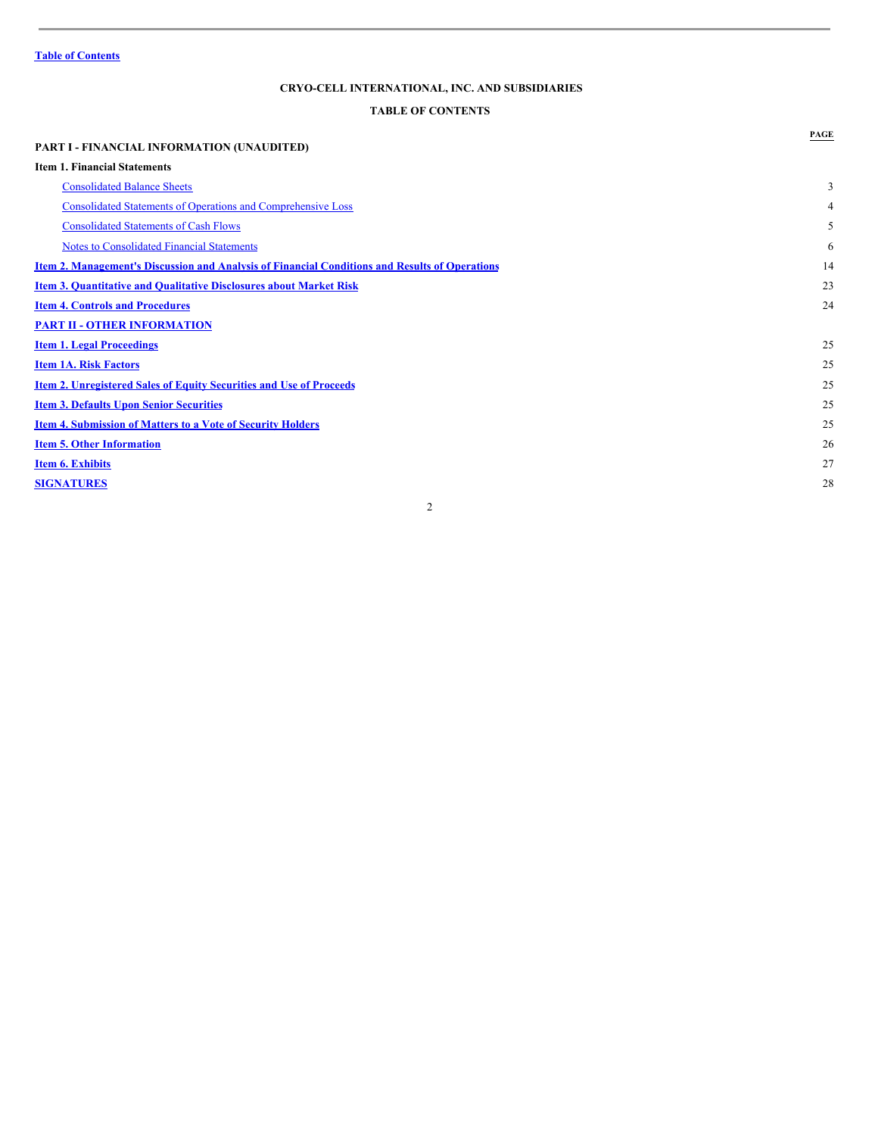## <span id="page-1-0"></span>**TABLE OF CONTENTS**

| <b>PART I - FINANCIAL INFORMATION (UNAUDITED)</b>                                                     | PAGE |
|-------------------------------------------------------------------------------------------------------|------|
| <b>Item 1. Financial Statements</b>                                                                   |      |
| <b>Consolidated Balance Sheets</b>                                                                    | 3    |
| <b>Consolidated Statements of Operations and Comprehensive Loss</b>                                   | 4    |
| <b>Consolidated Statements of Cash Flows</b>                                                          | 5    |
| <b>Notes to Consolidated Financial Statements</b>                                                     | 6    |
| <u>Item 2. Management's Discussion and Analysis of Financial Conditions and Results of Operations</u> | 14   |
| <b>Item 3. Quantitative and Qualitative Disclosures about Market Risk</b>                             | 23   |
| <b>Item 4. Controls and Procedures</b>                                                                | 24   |
| <b>PART II - OTHER INFORMATION</b>                                                                    |      |
| <b>Item 1. Legal Proceedings</b>                                                                      | 25   |
| <b>Item 1A. Risk Factors</b>                                                                          | 25   |
| <b>Item 2. Unregistered Sales of Equity Securities and Use of Proceeds</b>                            | 25   |
| <b>Item 3. Defaults Upon Senior Securities</b>                                                        | 25   |
| <b>Item 4. Submission of Matters to a Vote of Security Holders</b>                                    | 25   |
| <b>Item 5. Other Information</b>                                                                      | 26   |
| <b>Item 6. Exhibits</b>                                                                               | 27   |
| <b>SIGNATURES</b>                                                                                     | 28   |
| 2                                                                                                     |      |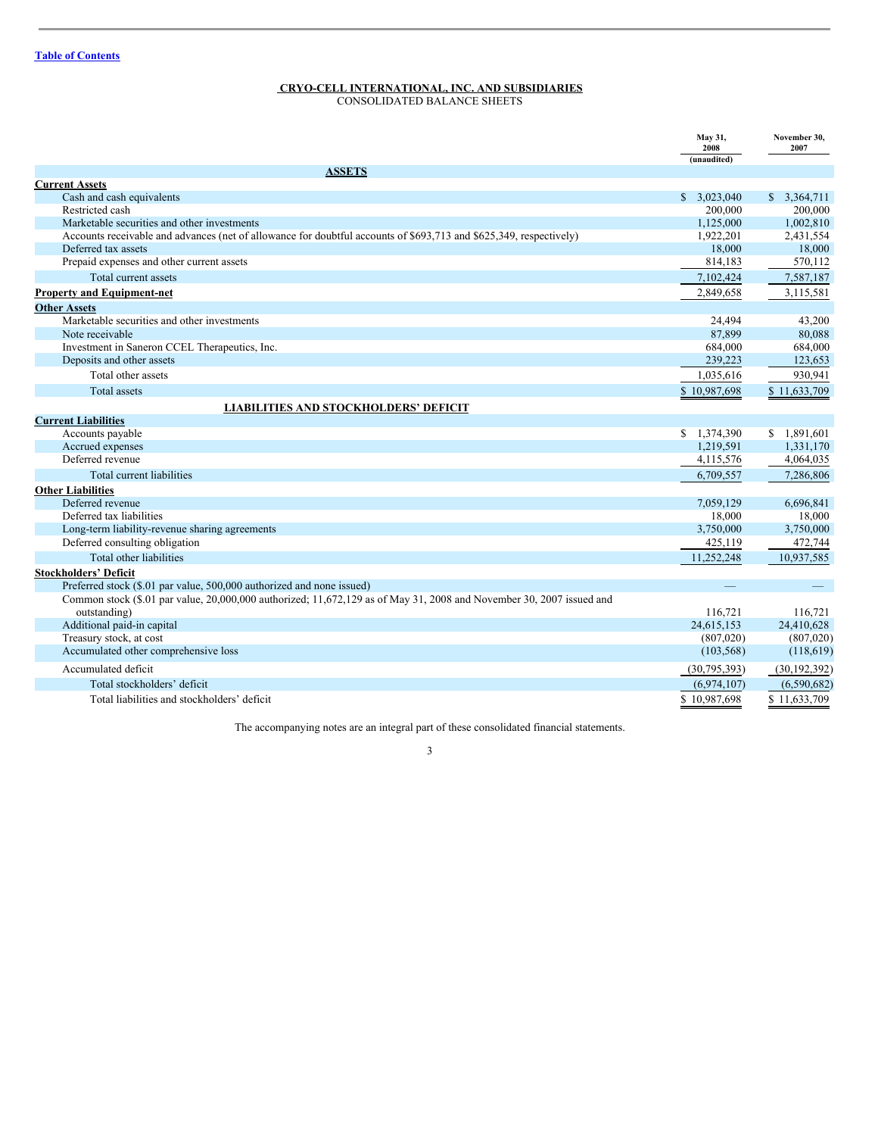<span id="page-2-0"></span>CONSOLIDATED BALANCE SHEETS

|                                                                                                                      | May 31,<br>2008 | November 30,<br>2007 |
|----------------------------------------------------------------------------------------------------------------------|-----------------|----------------------|
| <b>ASSETS</b>                                                                                                        | (unaudited)     |                      |
| <b>Current Assets</b>                                                                                                |                 |                      |
| Cash and cash equivalents                                                                                            | \$3,023,040     | \$3,364,711          |
| Restricted cash                                                                                                      | 200,000         | 200,000              |
| Marketable securities and other investments                                                                          | 1,125,000       | 1,002,810            |
| Accounts receivable and advances (net of allowance for doubtful accounts of \$693,713 and \$625,349, respectively)   | 1,922,201       | 2,431,554            |
| Deferred tax assets                                                                                                  | 18.000          | 18,000               |
| Prepaid expenses and other current assets                                                                            | 814,183         | 570,112              |
| Total current assets                                                                                                 | 7,102,424       | 7,587,187            |
| <b>Property and Equipment-net</b>                                                                                    | 2,849,658       | 3,115,581            |
| <b>Other Assets</b>                                                                                                  |                 |                      |
| Marketable securities and other investments                                                                          | 24,494          | 43,200               |
| Note receivable                                                                                                      | 87,899          | 80,088               |
| Investment in Saneron CCEL Therapeutics, Inc.                                                                        | 684,000         | 684,000              |
| Deposits and other assets                                                                                            | 239,223         | 123,653              |
| Total other assets                                                                                                   | 1,035,616       | 930,941              |
| Total assets                                                                                                         | \$10,987,698    | \$11,633,709         |
| <b>LIABILITIES AND STOCKHOLDERS' DEFICIT</b>                                                                         |                 |                      |
| <b>Current Liabilities</b>                                                                                           |                 |                      |
| Accounts payable                                                                                                     | \$1,374,390     | \$1,891,601          |
| Accrued expenses                                                                                                     | 1,219,591       | 1,331,170            |
| Deferred revenue                                                                                                     | 4,115,576       | 4,064,035            |
| Total current liabilities                                                                                            | 6,709,557       | 7,286,806            |
| <b>Other Liabilities</b>                                                                                             |                 |                      |
| Deferred revenue                                                                                                     | 7.059.129       | 6,696,841            |
| Deferred tax liabilities                                                                                             | 18.000          | 18,000               |
| Long-term liability-revenue sharing agreements                                                                       | 3,750,000       | 3,750,000            |
| Deferred consulting obligation                                                                                       | 425,119         | 472,744              |
| Total other liabilities                                                                                              | 11,252,248      | 10,937,585           |
| <b>Stockholders' Deficit</b>                                                                                         |                 |                      |
| Preferred stock (\$.01 par value, 500,000 authorized and none issued)                                                |                 |                      |
| Common stock (\$.01 par value, 20,000,000 authorized; 11,672,129 as of May 31, 2008 and November 30, 2007 issued and |                 |                      |
| outstanding)                                                                                                         | 116,721         | 116,721              |
| Additional paid-in capital                                                                                           | 24,615,153      | 24,410,628           |
| Treasury stock, at cost                                                                                              | (807,020)       | (807,020)            |
| Accumulated other comprehensive loss                                                                                 | (103, 568)      | (118,619)            |
| Accumulated deficit                                                                                                  | (30, 795, 393)  | (30, 192, 392)       |
| Total stockholders' deficit                                                                                          | (6,974,107)     | (6,590,682)          |
| Total liabilities and stockholders' deficit                                                                          | \$10.987,698    | \$11,633,709         |

The accompanying notes are an integral part of these consolidated financial statements.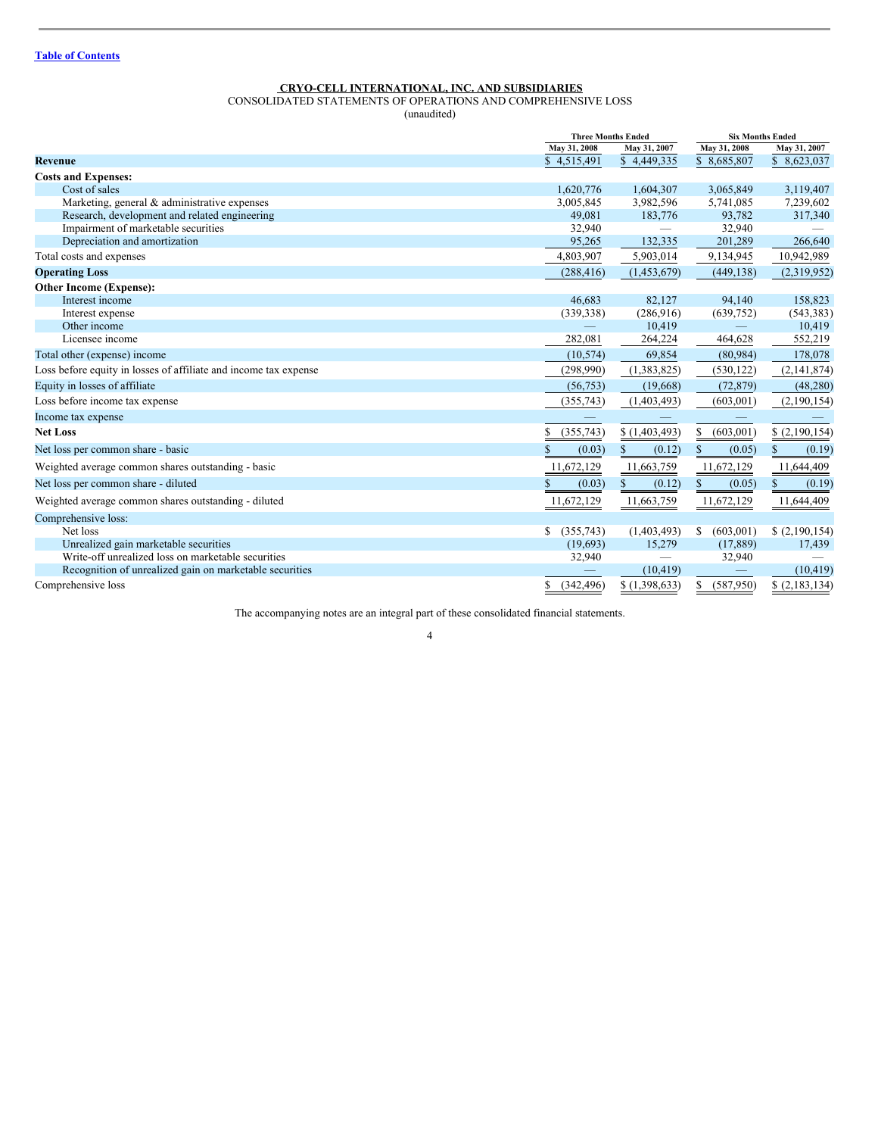<span id="page-3-0"></span>CONSOLIDATED STATEMENTS OF OPERATIONS AND COMPREHENSIVE LOSS

(unaudited)

|                                                                  |              | <b>Three Months Ended</b> |                 | <b>Six Months Ended</b> |
|------------------------------------------------------------------|--------------|---------------------------|-----------------|-------------------------|
|                                                                  | May 31, 2008 | May 31, 2007              | May 31, 2008    | May 31, 2007            |
| <b>Revenue</b>                                                   | \$4,515,491  | \$4,449,335               | \$8,685,807     | \$8,623,037             |
| <b>Costs and Expenses:</b>                                       |              |                           |                 |                         |
| Cost of sales                                                    | 1,620,776    | 1,604,307                 | 3,065,849       | 3,119,407               |
| Marketing, general & administrative expenses                     | 3,005,845    | 3,982,596                 | 5,741,085       | 7,239,602               |
| Research, development and related engineering                    | 49,081       | 183,776                   | 93,782          | 317,340                 |
| Impairment of marketable securities                              | 32,940       |                           | 32,940          |                         |
| Depreciation and amortization                                    | 95,265       | 132,335                   | 201,289         | 266,640                 |
| Total costs and expenses                                         | 4,803,907    | 5,903,014                 | 9,134,945       | 10,942,989              |
| <b>Operating Loss</b>                                            | (288, 416)   | (1,453,679)               | (449, 138)      | (2,319,952)             |
| <b>Other Income (Expense):</b>                                   |              |                           |                 |                         |
| Interest income                                                  | 46,683       | 82,127                    | 94,140          | 158,823                 |
| Interest expense                                                 | (339, 338)   | (286,916)                 | (639,752)       | (543, 383)              |
| Other income                                                     |              | 10,419                    |                 | 10,419                  |
| Licensee income                                                  | 282,081      | 264,224                   | 464,628         | 552,219                 |
| Total other (expense) income                                     | (10, 574)    | 69,854                    | (80, 984)       | 178,078                 |
| Loss before equity in losses of affiliate and income tax expense | (298,990)    | (1,383,825)               | (530, 122)      | (2,141,874)             |
| Equity in losses of affiliate                                    | (56, 753)    | (19,668)                  | (72, 879)       | (48, 280)               |
| Loss before income tax expense                                   | (355,743)    | (1,403,493)               | (603,001)       | (2,190,154)             |
| Income tax expense                                               |              |                           |                 |                         |
| <b>Net Loss</b>                                                  | (355,743)    | \$(1,403,493)             | (603,001)<br>\$ | (2,190,154)             |
| Net loss per common share - basic                                | \$<br>(0.03) | \$<br>(0.12)              | \$<br>(0.05)    | S<br>(0.19)             |
| Weighted average common shares outstanding - basic               | 11,672,129   | 11,663,759                | 11,672,129      | 11,644,409              |
| Net loss per common share - diluted                              | \$<br>(0.03) | \$<br>(0.12)              | \$<br>(0.05)    | S<br>(0.19)             |
| Weighted average common shares outstanding - diluted             | 11,672,129   | 11,663,759                | 11,672,129      | 11,644,409              |
| Comprehensive loss:                                              |              |                           |                 |                         |
| Net loss                                                         | (355,743)    | (1,403,493)               | (603,001)<br>\$ | (2,190,154)             |
| Unrealized gain marketable securities                            | (19,693)     | 15,279                    | (17, 889)       | 17,439                  |
| Write-off unrealized loss on marketable securities               | 32,940       |                           | 32,940          |                         |
| Recognition of unrealized gain on marketable securities          |              | (10, 419)                 |                 | (10, 419)               |
| Comprehensive loss                                               | (342, 496)   | \$(1,398,633)             | (587, 950)      | \$(2,183,134)           |

The accompanying notes are an integral part of these consolidated financial statements.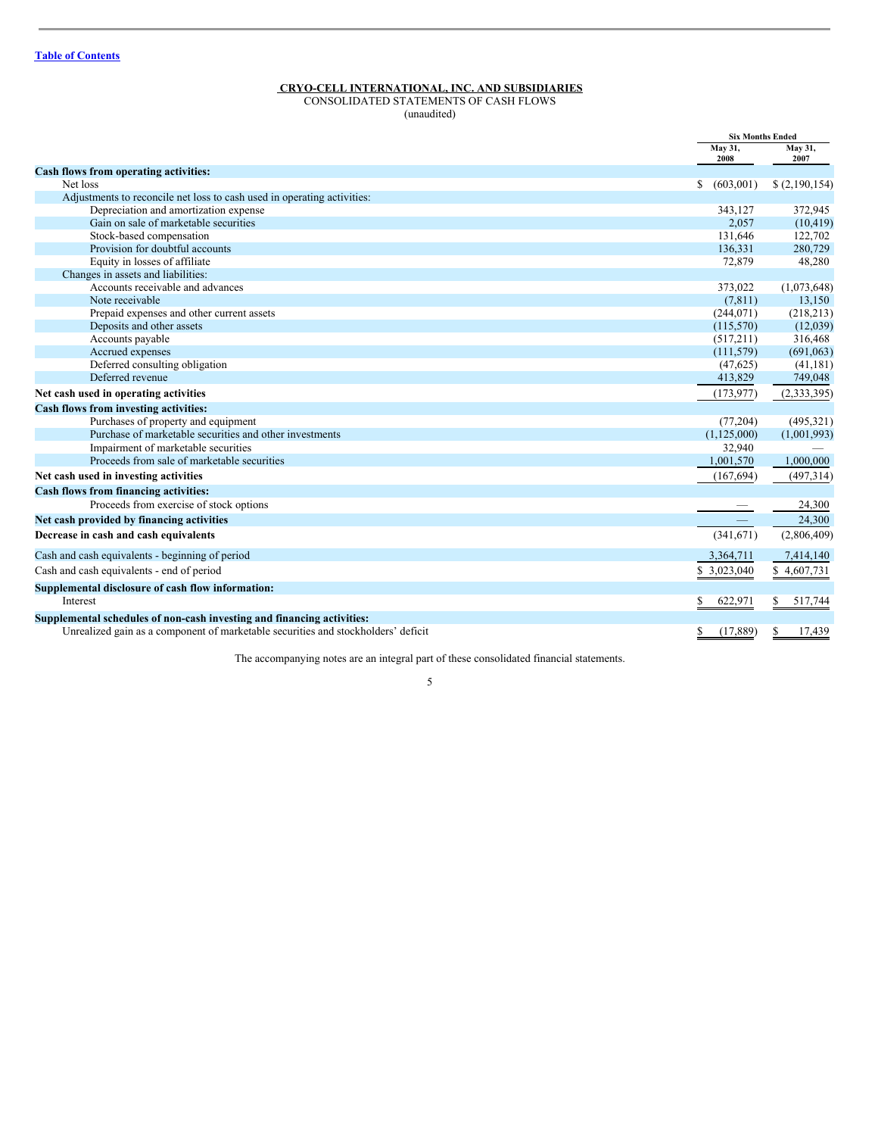<span id="page-4-0"></span>CONSOLIDATED STATEMENTS OF CASH FLOWS

(unaudited)

|                                                                                   | <b>Six Months Ended</b> |                 |
|-----------------------------------------------------------------------------------|-------------------------|-----------------|
|                                                                                   | May 31,<br>2008         | May 31,<br>2007 |
| Cash flows from operating activities:                                             |                         |                 |
| Net loss                                                                          | S.<br>(603,001)         | \$(2,190,154)   |
| Adjustments to reconcile net loss to cash used in operating activities:           |                         |                 |
| Depreciation and amortization expense                                             | 343,127                 | 372,945         |
| Gain on sale of marketable securities                                             | 2,057                   | (10, 419)       |
| Stock-based compensation                                                          | 131,646                 | 122,702         |
| Provision for doubtful accounts                                                   | 136,331                 | 280,729         |
| Equity in losses of affiliate                                                     | 72,879                  | 48,280          |
| Changes in assets and liabilities:                                                |                         |                 |
| Accounts receivable and advances                                                  | 373,022                 | (1,073,648)     |
| Note receivable                                                                   | (7, 811)                | 13,150          |
| Prepaid expenses and other current assets                                         | (244, 071)              | (218,213)       |
| Deposits and other assets                                                         | (115,570)               | (12,039)        |
| Accounts payable                                                                  | (517,211)               | 316,468         |
| Accrued expenses                                                                  | (111, 579)              | (691,063)       |
| Deferred consulting obligation                                                    | (47, 625)               | (41, 181)       |
| Deferred revenue                                                                  | 413,829                 | 749,048         |
| Net cash used in operating activities                                             | (173, 977)              | (2, 333, 395)   |
| Cash flows from investing activities:                                             |                         |                 |
| Purchases of property and equipment                                               | (77,204)                | (495, 321)      |
| Purchase of marketable securities and other investments                           | (1,125,000)             | (1,001,993)     |
| Impairment of marketable securities                                               | 32,940                  |                 |
| Proceeds from sale of marketable securities                                       | 1,001,570               | 1,000,000       |
| Net cash used in investing activities                                             | (167, 694)              | (497,314)       |
| Cash flows from financing activities:                                             |                         |                 |
| Proceeds from exercise of stock options                                           |                         | 24,300          |
| Net cash provided by financing activities                                         |                         | 24,300          |
| Decrease in cash and cash equivalents                                             | (341,671)               | (2,806,409)     |
| Cash and cash equivalents - beginning of period                                   | 3,364,711               | 7,414,140       |
| Cash and cash equivalents - end of period                                         | \$3,023,040             | \$4,607,731     |
| Supplemental disclosure of cash flow information:                                 |                         |                 |
| Interest                                                                          | 622,971<br>\$           | 517,744<br>\$   |
| Supplemental schedules of non-cash investing and financing activities:            |                         |                 |
| Unrealized gain as a component of marketable securities and stockholders' deficit | (17, 889)<br>\$         | \$<br>17,439    |

The accompanying notes are an integral part of these consolidated financial statements.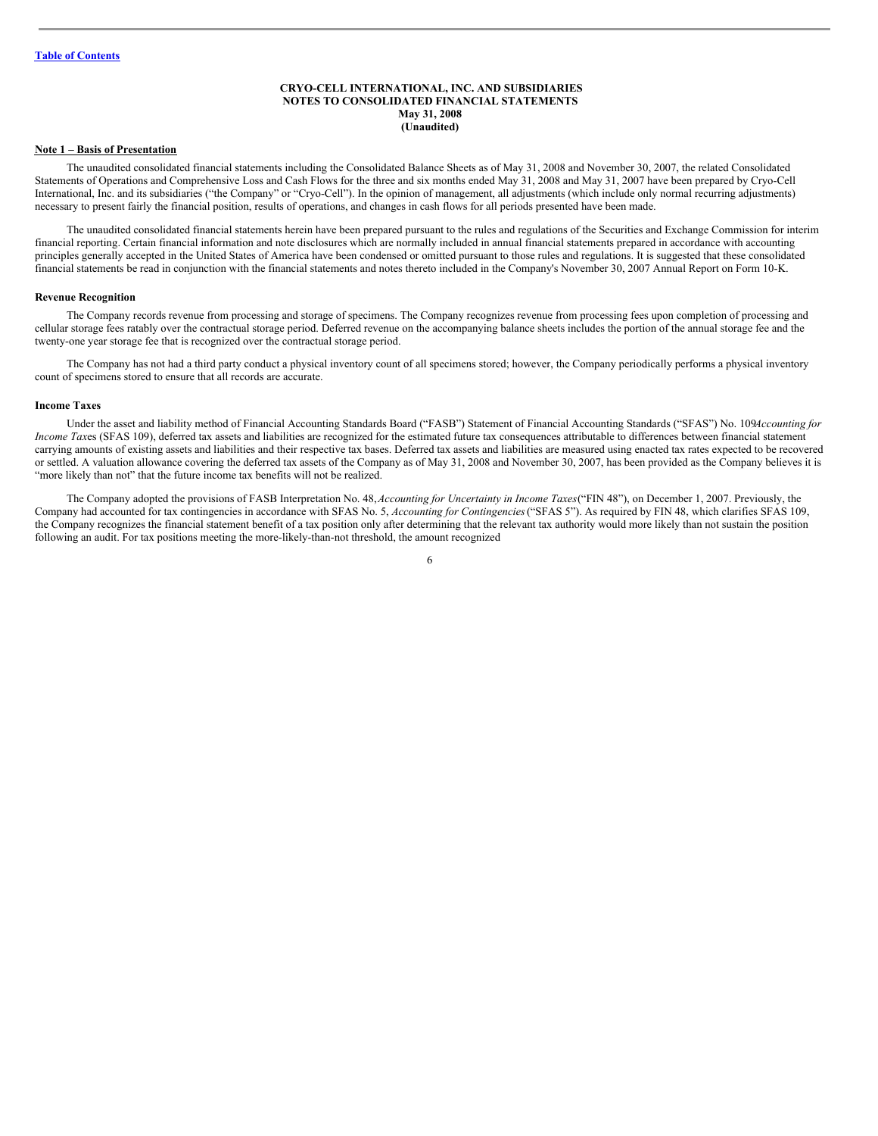## <span id="page-5-0"></span>**CRYO-CELL INTERNATIONAL, INC. AND SUBSIDIARIES NOTES TO CONSOLIDATED FINANCIAL STATEMENTS May 31, 2008 (Unaudited)**

#### **Note 1 – Basis of Presentation**

The unaudited consolidated financial statements including the Consolidated Balance Sheets as of May 31, 2008 and November 30, 2007, the related Consolidated Statements of Operations and Comprehensive Loss and Cash Flows for the three and six months ended May 31, 2008 and May 31, 2007 have been prepared by Cryo-Cell International, Inc. and its subsidiaries ("the Company" or "Cryo-Cell"). In the opinion of management, all adjustments (which include only normal recurring adjustments) necessary to present fairly the financial position, results of operations, and changes in cash flows for all periods presented have been made.

The unaudited consolidated financial statements herein have been prepared pursuant to the rules and regulations of the Securities and Exchange Commission for interim financial reporting. Certain financial information and note disclosures which are normally included in annual financial statements prepared in accordance with accounting principles generally accepted in the United States of America have been condensed or omitted pursuant to those rules and regulations. It is suggested that these consolidated financial statements be read in conjunction with the financial statements and notes thereto included in the Company's November 30, 2007 Annual Report on Form 10-K.

#### **Revenue Recognition**

The Company records revenue from processing and storage of specimens. The Company recognizes revenue from processing fees upon completion of processing and cellular storage fees ratably over the contractual storage period. Deferred revenue on the accompanying balance sheets includes the portion of the annual storage fee and the twenty-one year storage fee that is recognized over the contractual storage period.

The Company has not had a third party conduct a physical inventory count of all specimens stored; however, the Company periodically performs a physical inventory count of specimens stored to ensure that all records are accurate.

## **Income Taxes**

Under the asset and liability method of Financial Accounting Standards Board ("FASB") Statement of Financial Accounting Standards ("SFAS") No. 109*Accounting for Income Taxes* (SFAS 109), deferred tax assets and liabilities are recognized for the estimated future tax consequences attributable to differences between financial statement carrying amounts of existing assets and liabilities and their respective tax bases. Deferred tax assets and liabilities are measured using enacted tax rates expected to be recovered or settled. A valuation allowance covering the deferred tax assets of the Company as of May 31, 2008 and November 30, 2007, has been provided as the Company believes it is "more likely than not" that the future income tax benefits will not be realized.

The Company adopted the provisions of FASB Interpretation No. 48,*Accounting for Uncertainty in Income Taxes*("FIN 48"), on December 1, 2007. Previously, the Company had accounted for tax contingencies in accordance with SFAS No. 5, *Accounting for Contingencies*("SFAS 5"). As required by FIN 48, which clarifies SFAS 109, the Company recognizes the financial statement benefit of a tax position only after determining that the relevant tax authority would more likely than not sustain the position following an audit. For tax positions meeting the more-likely-than-not threshold, the amount recognized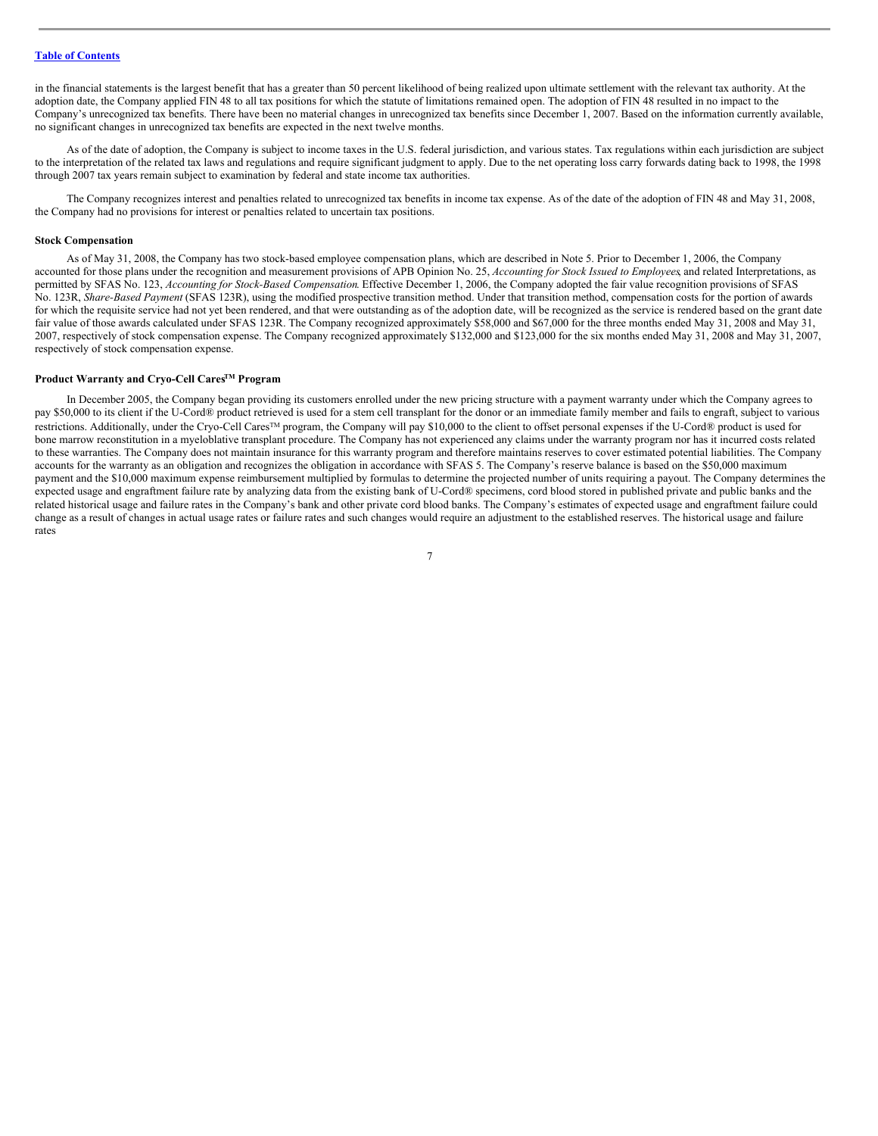in the financial statements is the largest benefit that has a greater than 50 percent likelihood of being realized upon ultimate settlement with the relevant tax authority. At the adoption date, the Company applied FIN 48 to all tax positions for which the statute of limitations remained open. The adoption of FIN 48 resulted in no impact to the Company's unrecognized tax benefits. There have been no material changes in unrecognized tax benefits since December 1, 2007. Based on the information currently available, no significant changes in unrecognized tax benefits are expected in the next twelve months.

As of the date of adoption, the Company is subject to income taxes in the U.S. federal jurisdiction, and various states. Tax regulations within each jurisdiction are subject to the interpretation of the related tax laws and regulations and require significant judgment to apply. Due to the net operating loss carry forwards dating back to 1998, the 1998 through 2007 tax years remain subject to examination by federal and state income tax authorities.

The Company recognizes interest and penalties related to unrecognized tax benefits in income tax expense. As of the date of the adoption of FIN 48 and May 31, 2008, the Company had no provisions for interest or penalties related to uncertain tax positions.

#### **Stock Compensation**

As of May 31, 2008, the Company has two stock-based employee compensation plans, which are described in Note 5. Prior to December 1, 2006, the Company accounted for those plans under the recognition and measurement provisions of APB Opinion No. 25, *Accounting for Stock Issued to Employees*, and related Interpretations, as permitted by SFAS No. 123, *Accounting for Stock-Based Compensation*. Effective December 1, 2006, the Company adopted the fair value recognition provisions of SFAS No. 123R, *Share-Based Payment* (SFAS 123R), using the modified prospective transition method. Under that transition method, compensation costs for the portion of awards for which the requisite service had not yet been rendered, and that were outstanding as of the adoption date, will be recognized as the service is rendered based on the grant date fair value of those awards calculated under SFAS 123R. The Company recognized approximately \$58,000 and \$67,000 for the three months ended May 31, 2008 and May 31, 2007, respectively of stock compensation expense. The Company recognized approximately \$132,000 and \$123,000 for the six months ended May 31, 2008 and May 31, 2007, respectively of stock compensation expense.

## **Product Warranty and Cryo-Cell CaresTM Program**

In December 2005, the Company began providing its customers enrolled under the new pricing structure with a payment warranty under which the Company agrees to pay \$50,000 to its client if the U-Cord® product retrieved is used for a stem cell transplant for the donor or an immediate family member and fails to engraft, subject to various restrictions. Additionally, under the Cryo-Cell Cares<sup>™</sup> program, the Company will pay \$10,000 to the client to offset personal expenses if the U-Cord® product is used for bone marrow reconstitution in a myeloblative transplant procedure. The Company has not experienced any claims under the warranty program nor has it incurred costs related to these warranties. The Company does not maintain insurance for this warranty program and therefore maintains reserves to cover estimated potential liabilities. The Company accounts for the warranty as an obligation and recognizes the obligation in accordance with SFAS 5. The Company's reserve balance is based on the \$50,000 maximum payment and the \$10,000 maximum expense reimbursement multiplied by formulas to determine the projected number of units requiring a payout. The Company determines the expected usage and engraftment failure rate by analyzing data from the existing bank of U-Cord® specimens, cord blood stored in published private and public banks and the related historical usage and failure rates in the Company's bank and other private cord blood banks. The Company's estimates of expected usage and engraftment failure could change as a result of changes in actual usage rates or failure rates and such changes would require an adjustment to the established reserves. The historical usage and failure rates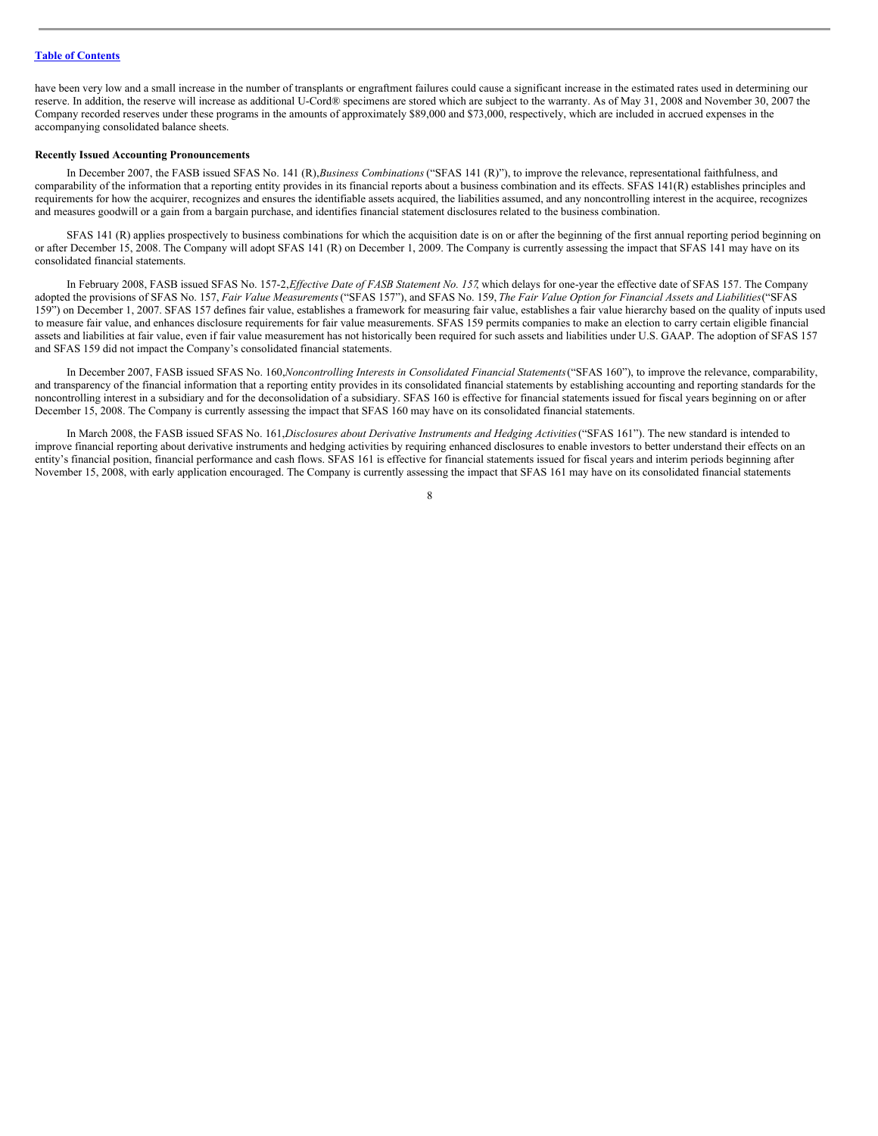have been very low and a small increase in the number of transplants or engraftment failures could cause a significant increase in the estimated rates used in determining our reserve. In addition, the reserve will increase as additional U-Cord® specimens are stored which are subject to the warranty. As of May 31, 2008 and November 30, 2007 the Company recorded reserves under these programs in the amounts of approximately \$89,000 and \$73,000, respectively, which are included in accrued expenses in the accompanying consolidated balance sheets.

### **Recently Issued Accounting Pronouncements**

In December 2007, the FASB issued SFAS No. 141 (R),*Business Combinations* ("SFAS 141 (R)"), to improve the relevance, representational faithfulness, and comparability of the information that a reporting entity provides in its financial reports about a business combination and its effects. SFAS 141(R) establishes principles and requirements for how the acquirer, recognizes and ensures the identifiable assets acquired, the liabilities assumed, and any noncontrolling interest in the acquiree, recognizes and measures goodwill or a gain from a bargain purchase, and identifies financial statement disclosures related to the business combination.

SFAS 141 (R) applies prospectively to business combinations for which the acquisition date is on or after the beginning of the first annual reporting period beginning on or after December 15, 2008. The Company will adopt SFAS 141 (R) on December 1, 2009. The Company is currently assessing the impact that SFAS 141 may have on its consolidated financial statements.

In February 2008, FASB issued SFAS No. 157-2,*Ef ective Date of FASB Statement No. 157*, which delays for one-year the effective date of SFAS 157. The Company adopted the provisions of SFAS No. 157, Fair Value Measurements ("SFAS 157"), and SFAS No. 159, The Fair Value Option for Financial Assets and Liabilities("SFAS 159") on December 1, 2007. SFAS 157 defines fair value, establishes a framework for measuring fair value, establishes a fair value hierarchy based on the quality of inputs used to measure fair value, and enhances disclosure requirements for fair value measurements. SFAS 159 permits companies to make an election to carry certain eligible financial assets and liabilities at fair value, even if fair value measurement has not historically been required for such assets and liabilities under U.S. GAAP. The adoption of SFAS 157 and SFAS 159 did not impact the Company's consolidated financial statements.

In December 2007, FASB issued SFAS No. 160,*Noncontrolling Interests in Consolidated Financial Statements*("SFAS 160"), to improve the relevance, comparability, and transparency of the financial information that a reporting entity provides in its consolidated financial statements by establishing accounting and reporting standards for the noncontrolling interest in a subsidiary and for the deconsolidation of a subsidiary. SFAS 160 is effective for financial statements issued for fiscal years beginning on or after December 15, 2008. The Company is currently assessing the impact that SFAS 160 may have on its consolidated financial statements.

In March 2008, the FASB issued SFAS No. 161,*Disclosures about Derivative Instruments and Hedging Activities*("SFAS 161"). The new standard is intended to improve financial reporting about derivative instruments and hedging activities by requiring enhanced disclosures to enable investors to better understand their effects on an entity's financial position, financial performance and cash flows. SFAS 161 is effective for financial statements issued for fiscal years and interim periods beginning after November 15, 2008, with early application encouraged. The Company is currently assessing the impact that SFAS 161 may have on its consolidated financial statements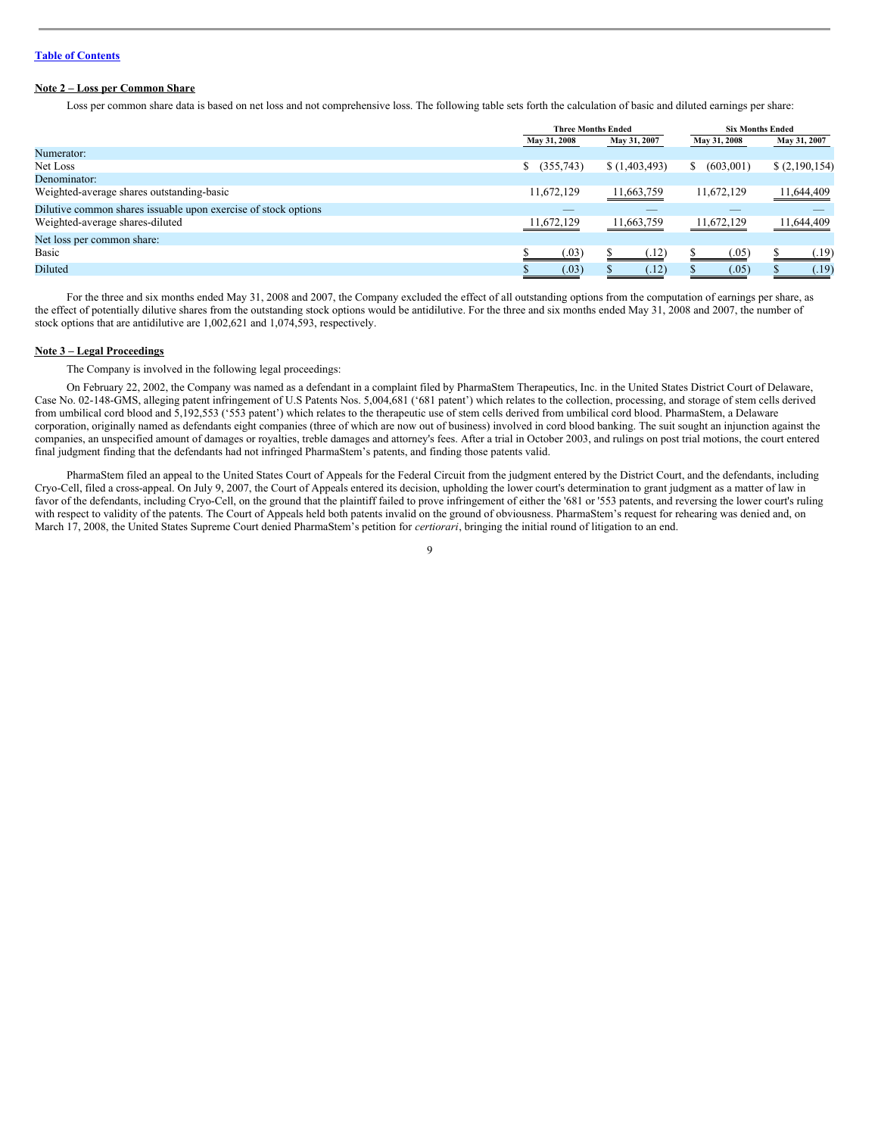## **Note 2 – Loss per Common Share**

Loss per common share data is based on net loss and not comprehensive loss. The following table sets forth the calculation of basic and diluted earnings per share:

|                                                                | <b>Three Months Ended</b> |              | <b>Six Months Ended</b> |              |
|----------------------------------------------------------------|---------------------------|--------------|-------------------------|--------------|
|                                                                | May 31, 2008              | May 31, 2007 | May 31, 2008            | May 31, 2007 |
| Numerator:                                                     |                           |              |                         |              |
| Net Loss                                                       | \$ (355,743)              | (1,403,493)  | (603,001)<br>S          | (2,190,154)  |
| Denominator:                                                   |                           |              |                         |              |
| Weighted-average shares outstanding-basic                      | 11,672,129                | 11,663,759   | 11,672,129              | 11,644,409   |
| Dilutive common shares issuable upon exercise of stock options |                           |              |                         |              |
| Weighted-average shares-diluted                                | 11,672,129                | 11,663,759   | 11.672.129              | 11,644,409   |
| Net loss per common share:                                     |                           |              |                         |              |
| Basic                                                          | (.03)                     | (.12)        | (.05)                   | (0.19)       |
| Diluted                                                        | (.03)                     | (.12)        | (.05)                   | (.19)        |

For the three and six months ended May 31, 2008 and 2007, the Company excluded the effect of all outstanding options from the computation of earnings per share, as the effect of potentially dilutive shares from the outstanding stock options would be antidilutive. For the three and six months ended May 31, 2008 and 2007, the number of stock options that are antidilutive are 1,002,621 and 1,074,593, respectively.

#### **Note 3 – Legal Proceedings**

The Company is involved in the following legal proceedings:

On February 22, 2002, the Company was named as a defendant in a complaint filed by PharmaStem Therapeutics, Inc. in the United States District Court of Delaware, Case No. 02-148-GMS, alleging patent infringement of U.S Patents Nos. 5,004,681 ('681 patent') which relates to the collection, processing, and storage of stem cells derived from umbilical cord blood and 5,192,553 ('553 patent') which relates to the therapeutic use of stem cells derived from umbilical cord blood. PharmaStem, a Delaware corporation, originally named as defendants eight companies (three of which are now out of business) involved in cord blood banking. The suit sought an injunction against the companies, an unspecified amount of damages or royalties, treble damages and attorney's fees. After a trial in October 2003, and rulings on post trial motions, the court entered final judgment finding that the defendants had not infringed PharmaStem's patents, and finding those patents valid.

PharmaStem filed an appeal to the United States Court of Appeals for the Federal Circuit from the judgment entered by the District Court, and the defendants, including Cryo-Cell, filed a cross-appeal. On July 9, 2007, the Court of Appeals entered its decision, upholding the lower court's determination to grant judgment as a matter of law in favor of the defendants, including Cryo-Cell, on the ground that the plaintiff failed to prove infringement of either the '681 or '553 patents, and reversing the lower court's ruling with respect to validity of the patents. The Court of Appeals held both patents invalid on the ground of obviousness. PharmaStem's request for rehearing was denied and, on March 17, 2008, the United States Supreme Court denied PharmaStem's petition for *certiorari*, bringing the initial round of litigation to an end.

 $\overline{Q}$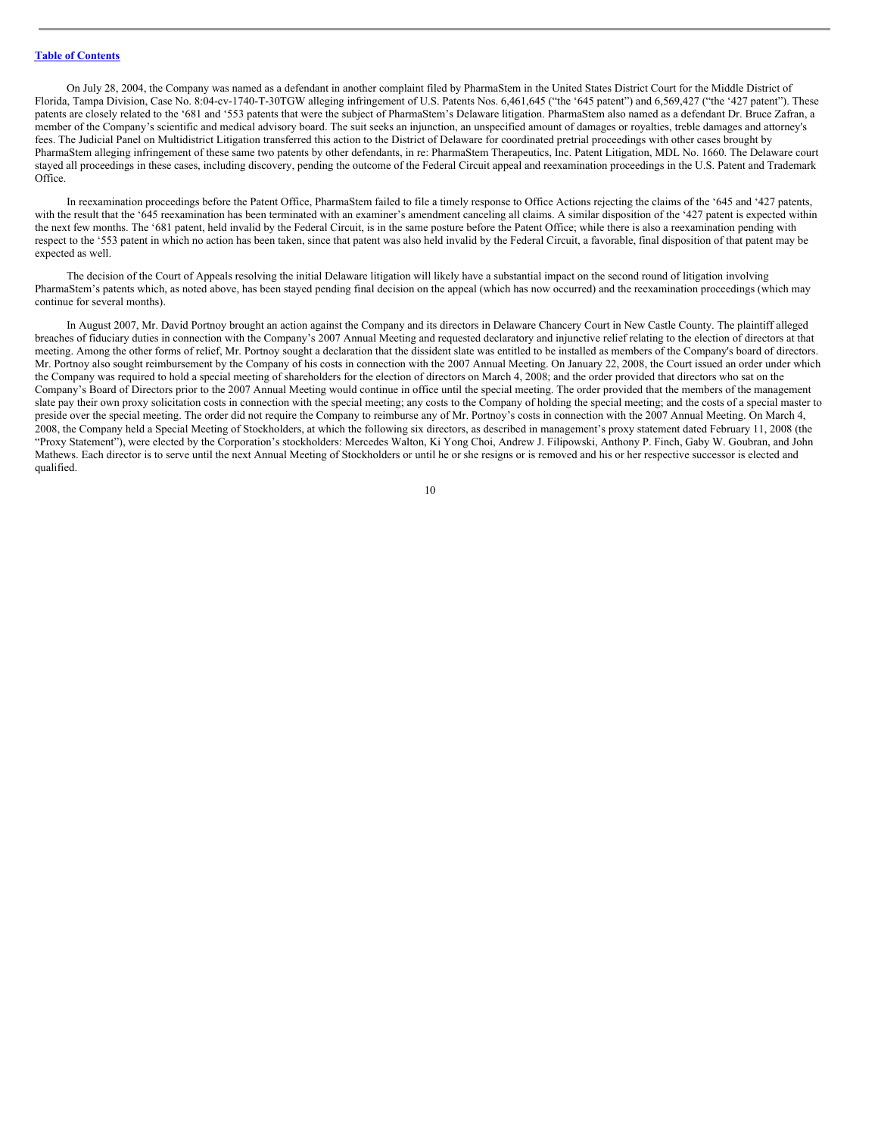On July 28, 2004, the Company was named as a defendant in another complaint filed by PharmaStem in the United States District Court for the Middle District of Florida, Tampa Division, Case No. 8:04-cv-1740-T-30TGW alleging infringement of U.S. Patents Nos. 6,461,645 ("the '645 patent") and 6,569,427 ("the '427 patent"). These patents are closely related to the '681 and '553 patents that were the subject of PharmaStem's Delaware litigation. PharmaStem also named as a defendant Dr. Bruce Zafran, a member of the Company's scientific and medical advisory board. The suit seeks an injunction, an unspecified amount of damages or royalties, treble damages and attorney's fees. The Judicial Panel on Multidistrict Litigation transferred this action to the District of Delaware for coordinated pretrial proceedings with other cases brought by PharmaStem alleging infringement of these same two patents by other defendants, in re: PharmaStem Therapeutics, Inc. Patent Litigation, MDL No. 1660. The Delaware court stayed all proceedings in these cases, including discovery, pending the outcome of the Federal Circuit appeal and reexamination proceedings in the U.S. Patent and Trademark Office.

In reexamination proceedings before the Patent Office, PharmaStem failed to file a timely response to Office Actions rejecting the claims of the '645 and '427 patents, with the result that the '645 reexamination has been terminated with an examiner's amendment canceling all claims. A similar disposition of the '427 patent is expected within the next few months. The '681 patent, held invalid by the Federal Circuit, is in the same posture before the Patent Office; while there is also a reexamination pending with respect to the '553 patent in which no action has been taken, since that patent was also held invalid by the Federal Circuit, a favorable, final disposition of that patent may be expected as well.

The decision of the Court of Appeals resolving the initial Delaware litigation will likely have a substantial impact on the second round of litigation involving PharmaStem's patents which, as noted above, has been stayed pending final decision on the appeal (which has now occurred) and the reexamination proceedings (which may continue for several months).

In August 2007, Mr. David Portnoy brought an action against the Company and its directors in Delaware Chancery Court in New Castle County. The plaintiff alleged breaches of fiduciary duties in connection with the Company's 2007 Annual Meeting and requested declaratory and injunctive relief relating to the election of directors at that meeting. Among the other forms of relief, Mr. Portnoy sought a declaration that the dissident slate was entitled to be installed as members of the Company's board of directors. Mr. Portnoy also sought reimbursement by the Company of his costs in connection with the 2007 Annual Meeting. On January 22, 2008, the Court issued an order under which the Company was required to hold a special meeting of shareholders for the election of directors on March 4, 2008; and the order provided that directors who sat on the Company's Board of Directors prior to the 2007 Annual Meeting would continue in office until the special meeting. The order provided that the members of the management slate pay their own proxy solicitation costs in connection with the special meeting; any costs to the Company of holding the special meeting; and the costs of a special master to preside over the special meeting. The order did not require the Company to reimburse any of Mr. Portnoy's costs in connection with the 2007 Annual Meeting. On March 4, 2008, the Company held a Special Meeting of Stockholders, at which the following six directors, as described in management's proxy statement dated February 11, 2008 (the "Proxy Statement"), were elected by the Corporation's stockholders: Mercedes Walton, Ki Yong Choi, Andrew J. Filipowski, Anthony P. Finch, Gaby W. Goubran, and John Mathews. Each director is to serve until the next Annual Meeting of Stockholders or until he or she resigns or is removed and his or her respective successor is elected and qualified.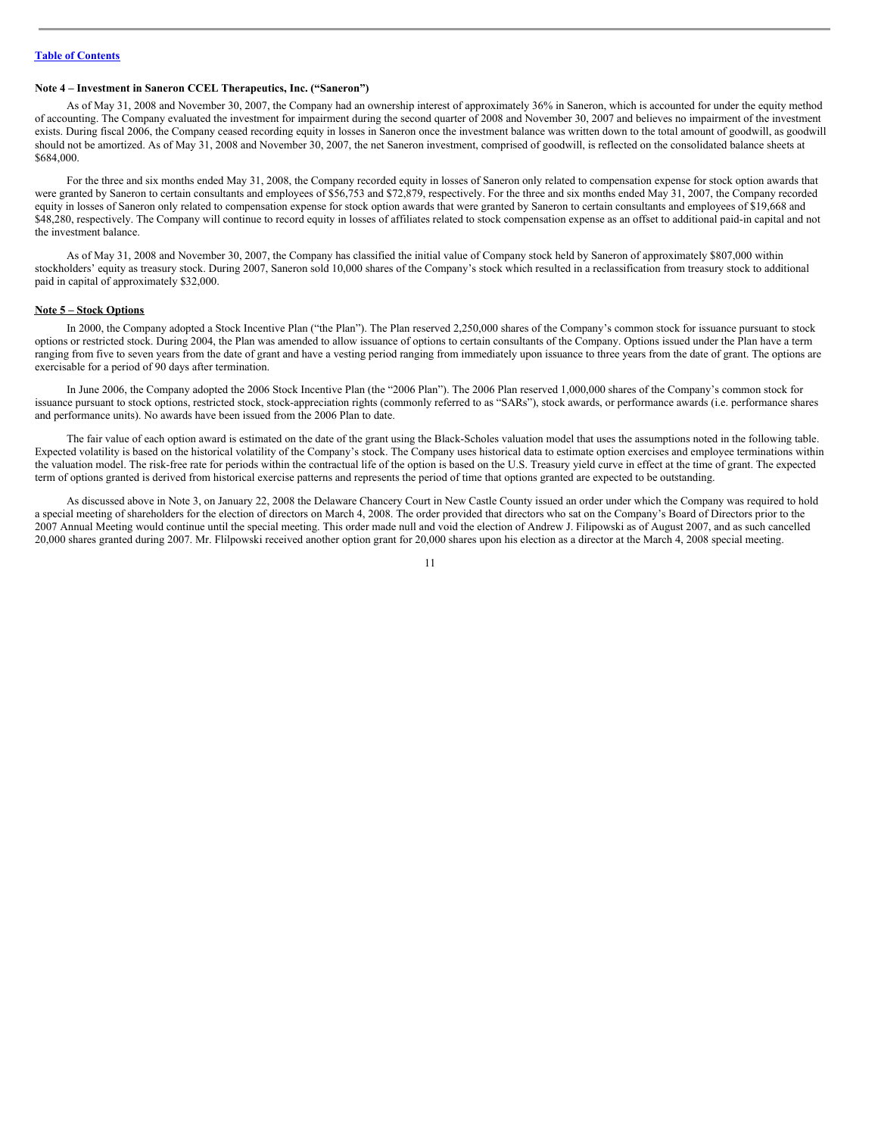## **Note 4 – Investment in Saneron CCEL Therapeutics, Inc. ("Saneron")**

As of May 31, 2008 and November 30, 2007, the Company had an ownership interest of approximately 36% in Saneron, which is accounted for under the equity method of accounting. The Company evaluated the investment for impairment during the second quarter of 2008 and November 30, 2007 and believes no impairment of the investment exists. During fiscal 2006, the Company ceased recording equity in losses in Saneron once the investment balance was written down to the total amount of goodwill, as goodwill should not be amortized. As of May 31, 2008 and November 30, 2007, the net Saneron investment, comprised of goodwill, is reflected on the consolidated balance sheets at \$684,000.

For the three and six months ended May 31, 2008, the Company recorded equity in losses of Saneron only related to compensation expense for stock option awards that were granted by Saneron to certain consultants and employees of \$56,753 and \$72,879, respectively. For the three and six months ended May 31, 2007, the Company recorded equity in losses of Saneron only related to compensation expense for stock option awards that were granted by Saneron to certain consultants and employees of \$19,668 and \$48,280, respectively. The Company will continue to record equity in losses of affiliates related to stock compensation expense as an offset to additional paid-in capital and not the investment balance.

As of May 31, 2008 and November 30, 2007, the Company has classified the initial value of Company stock held by Saneron of approximately \$807,000 within stockholders' equity as treasury stock. During 2007, Saneron sold 10,000 shares of the Company's stock which resulted in a reclassification from treasury stock to additional paid in capital of approximately \$32,000.

#### **Note 5 – Stock Options**

In 2000, the Company adopted a Stock Incentive Plan ("the Plan"). The Plan reserved 2,250,000 shares of the Company's common stock for issuance pursuant to stock options or restricted stock. During 2004, the Plan was amended to allow issuance of options to certain consultants of the Company. Options issued under the Plan have a term ranging from five to seven years from the date of grant and have a vesting period ranging from immediately upon issuance to three years from the date of grant. The options are exercisable for a period of 90 days after termination.

In June 2006, the Company adopted the 2006 Stock Incentive Plan (the "2006 Plan"). The 2006 Plan reserved 1,000,000 shares of the Company's common stock for issuance pursuant to stock options, restricted stock, stock-appreciation rights (commonly referred to as "SARs"), stock awards, or performance awards (i.e. performance shares and performance units). No awards have been issued from the 2006 Plan to date.

The fair value of each option award is estimated on the date of the grant using the Black-Scholes valuation model that uses the assumptions noted in the following table. Expected volatility is based on the historical volatility of the Company's stock. The Company uses historical data to estimate option exercises and employee terminations within the valuation model. The risk-free rate for periods within the contractual life of the option is based on the U.S. Treasury yield curve in effect at the time of grant. The expected term of options granted is derived from historical exercise patterns and represents the period of time that options granted are expected to be outstanding.

As discussed above in Note 3, on January 22, 2008 the Delaware Chancery Court in New Castle County issued an order under which the Company was required to hold a special meeting of shareholders for the election of directors on March 4, 2008. The order provided that directors who sat on the Company's Board of Directors prior to the 2007 Annual Meeting would continue until the special meeting. This order made null and void the election of Andrew J. Filipowski as of August 2007, and as such cancelled 20,000 shares granted during 2007. Mr. Flilpowski received another option grant for 20,000 shares upon his election as a director at the March 4, 2008 special meeting.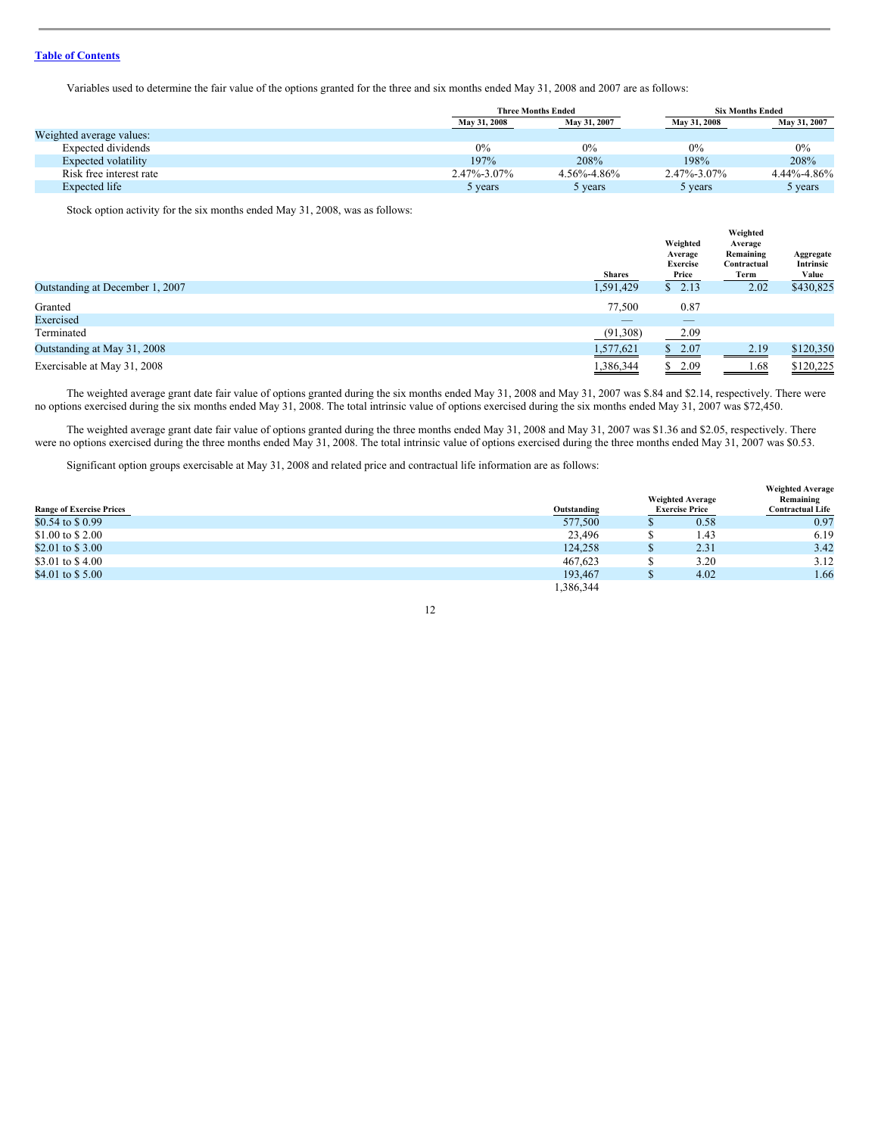Variables used to determine the fair value of the options granted for the three and six months ended May 31, 2008 and 2007 are as follows:

|                          |              | <b>Three Months Ended</b> |              | <b>Six Months Ended</b> |
|--------------------------|--------------|---------------------------|--------------|-------------------------|
|                          | May 31, 2008 | May 31, 2007              | May 31, 2008 | May 31, 2007            |
| Weighted average values: |              |                           |              |                         |
| Expected dividends       | 0%           | 0%                        | $0\%$        | 0%                      |
| Expected volatility      | 197%         | 208%                      | 198%         | 208%                    |
| Risk free interest rate  | 2.47%-3.07%  | $4.56\% - 4.86\%$         | 2.47%-3.07%  | $4.44\% - 4.86\%$       |
| Expected life            | 5 years      | 5 years                   | 5 years      | 5 years                 |

Stock option activity for the six months ended May 31, 2008, was as follows:

|                                 | <b>Shares</b> | Weighted<br>Average<br><b>Exercise</b><br>Price | Weighted<br>Average<br>Remaining<br>Contractual<br>Term | Aggregate<br>Intrinsic<br>Value |
|---------------------------------|---------------|-------------------------------------------------|---------------------------------------------------------|---------------------------------|
| Outstanding at December 1, 2007 | 1,591,429     | \$2.13                                          | 2.02                                                    | \$430,825                       |
| Granted                         | 77,500        | 0.87                                            |                                                         |                                 |
| Exercised                       | _             | $-$                                             |                                                         |                                 |
| Terminated                      | (91,308)      | 2.09                                            |                                                         |                                 |
| Outstanding at May 31, 2008     | 1,577,621     | \$2.07                                          | 2.19                                                    | \$120,350                       |
| Exercisable at May 31, 2008     | 1,386,344     | \$2.09                                          | 1.68                                                    | \$120,225                       |

The weighted average grant date fair value of options granted during the six months ended May 31, 2008 and May 31, 2007 was \$.84 and \$2.14, respectively. There were no options exercised during the six months ended May 31, 2008. The total intrinsic value of options exercised during the six months ended May 31, 2007 was \$72,450.

The weighted average grant date fair value of options granted during the three months ended May 31, 2008 and May 31, 2007 was \$1.36 and \$2.05, respectively. There were no options exercised during the three months ended May 31, 2008. The total intrinsic value of options exercised during the three months ended May 31, 2007 was \$0.53.

Significant option groups exercisable at May 31, 2008 and related price and contractual life information are as follows:

|                                 |             |                         | <b>Weighted Average</b> |
|---------------------------------|-------------|-------------------------|-------------------------|
|                                 |             | <b>Weighted Average</b> | Remaining               |
| <b>Range of Exercise Prices</b> | Outstanding | <b>Exercise Price</b>   | <b>Contractual Life</b> |
| \$0.54 to \$0.99                | 577,500     | 0.58                    | 0.97                    |
| \$1.00 to \$2.00                | 23.496      | 1.43                    | 6.19                    |
| \$2.01 to \$3.00                | 124,258     | 2.31                    | 3.42                    |
| \$3.01 to \$4.00                | 467.623     | 3.20                    | 3.12                    |
| \$4.01 to \$5.00                | 193.467     | 4.02                    | 1.66                    |
|                                 | 386,344     |                         |                         |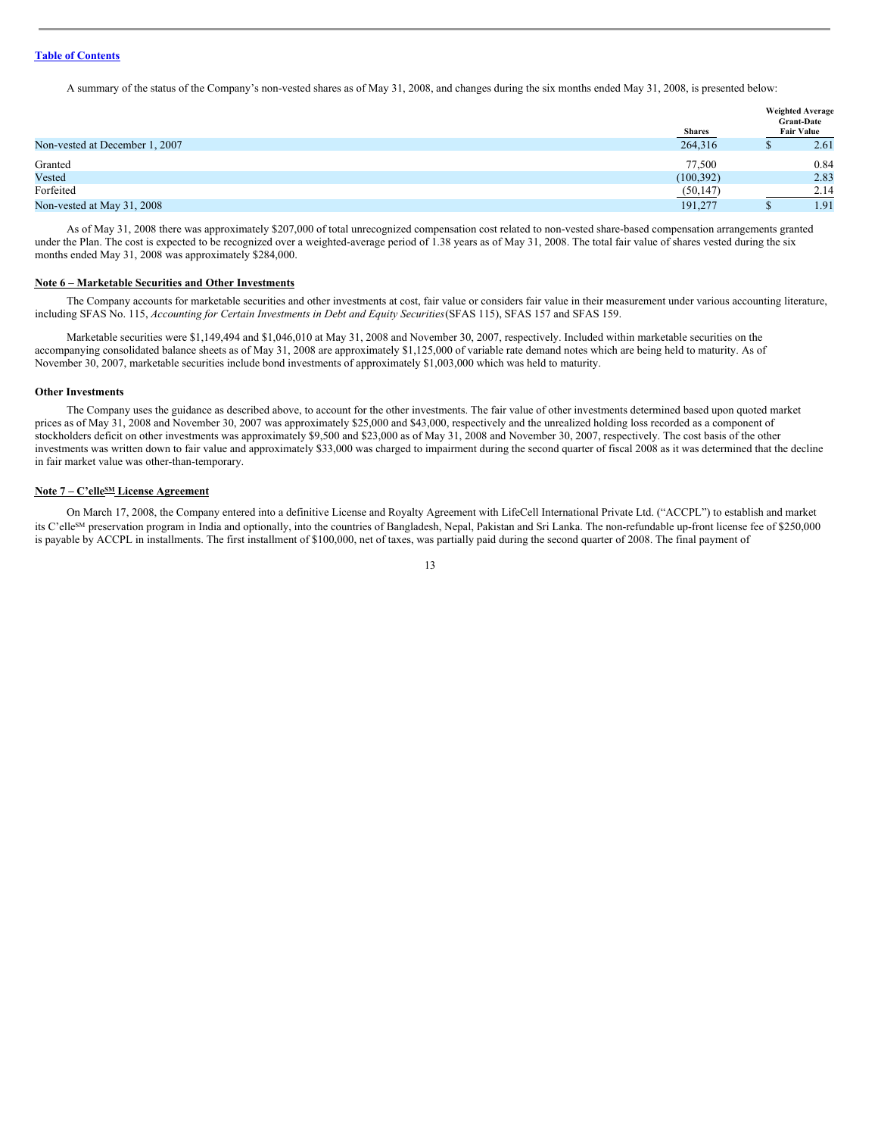A summary of the status of the Company's non-vested shares as of May 31, 2008, and changes during the six months ended May 31, 2008, is presented below:

| <b>Fair Value</b><br><b>Shares</b>        |      |
|-------------------------------------------|------|
| 264,316<br>Non-vested at December 1, 2007 | 2.61 |
| Granted<br>77.500                         | 0.84 |
| Vested<br>(100, 392)                      | 2.83 |
| Forfeited<br>(50, 147)                    | 2.14 |
| Non-vested at May 31, 2008<br>191,277     | 1.91 |

As of May 31, 2008 there was approximately \$207,000 of total unrecognized compensation cost related to non-vested share-based compensation arrangements granted under the Plan. The cost is expected to be recognized over a weighted-average period of 1.38 years as of May 31, 2008. The total fair value of shares vested during the six months ended May 31, 2008 was approximately \$284,000.

## **Note 6 – Marketable Securities and Other Investments**

The Company accounts for marketable securities and other investments at cost, fair value or considers fair value in their measurement under various accounting literature, including SFAS No. 115, *Accounting for Certain Investments in Debt and Equity Securities*(SFAS 115), SFAS 157 and SFAS 159.

Marketable securities were \$1,149,494 and \$1,046,010 at May 31, 2008 and November 30, 2007, respectively. Included within marketable securities on the accompanying consolidated balance sheets as of May 31, 2008 are approximately \$1,125,000 of variable rate demand notes which are being held to maturity. As of November 30, 2007, marketable securities include bond investments of approximately \$1,003,000 which was held to maturity.

#### **Other Investments**

The Company uses the guidance as described above, to account for the other investments. The fair value of other investments determined based upon quoted market prices as of May 31, 2008 and November 30, 2007 was approximately \$25,000 and \$43,000, respectively and the unrealized holding loss recorded as a component of stockholders deficit on other investments was approximately \$9,500 and \$23,000 as of May 31, 2008 and November 30, 2007, respectively. The cost basis of the other investments was written down to fair value and approximately \$33,000 was charged to impairment during the second quarter of fiscal 2008 as it was determined that the decline in fair market value was other-than-temporary.

#### **Note 7 – C'elle SM License Agreement**

On March 17, 2008, the Company entered into a definitive License and Royalty Agreement with LifeCell International Private Ltd. ("ACCPL") to establish and market its C'elle<sup>SM</sup> preservation program in India and optionally, into the countries of Bangladesh, Nepal, Pakistan and Sri Lanka. The non-refundable up-front license fee of \$250,000 is payable by ACCPL in installments. The first installment of \$100,000, net of taxes, was partially paid during the second quarter of 2008. The final payment of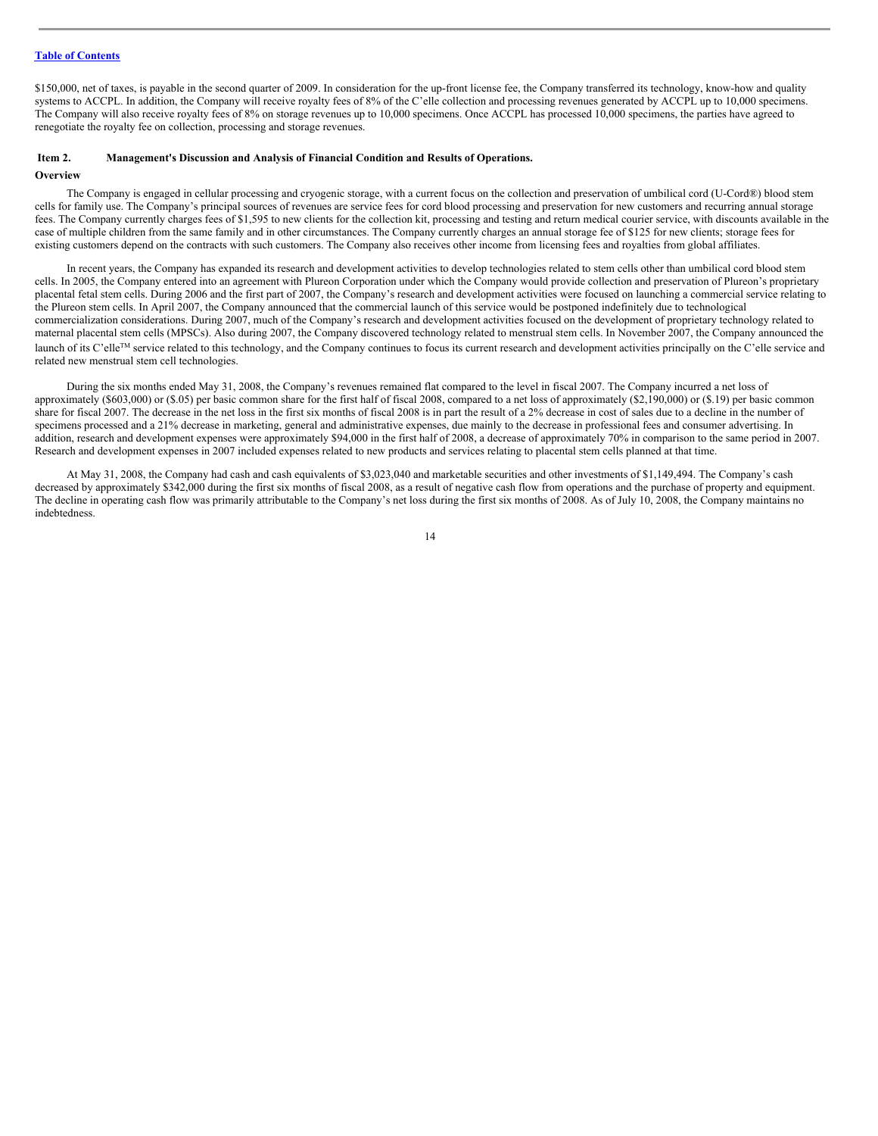\$150,000, net of taxes, is payable in the second quarter of 2009. In consideration for the up-front license fee, the Company transferred its technology, know-how and quality systems to ACCPL. In addition, the Company will receive royalty fees of 8% of the C'elle collection and processing revenues generated by ACCPL up to 10,000 specimens. The Company will also receive royalty fees of 8% on storage revenues up to 10,000 specimens. Once ACCPL has processed 10,000 specimens, the parties have agreed to renegotiate the royalty fee on collection, processing and storage revenues.

#### <span id="page-13-0"></span>**Item 2. Management's Discussion and Analysis of Financial Condition and Results of Operations.**

## **Overview**

The Company is engaged in cellular processing and cryogenic storage, with a current focus on the collection and preservation of umbilical cord (U-Cord®) blood stem cells for family use. The Company's principal sources of revenues are service fees for cord blood processing and preservation for new customers and recurring annual storage fees. The Company currently charges fees of \$1,595 to new clients for the collection kit, processing and testing and return medical courier service, with discounts available in the case of multiple children from the same family and in other circumstances. The Company currently charges an annual storage fee of \$125 for new clients; storage fees for existing customers depend on the contracts with such customers. The Company also receives other income from licensing fees and royalties from global affiliates.

In recent years, the Company has expanded its research and development activities to develop technologies related to stem cells other than umbilical cord blood stem cells. In 2005, the Company entered into an agreement with Plureon Corporation under which the Company would provide collection and preservation of Plureon's proprietary placental fetal stem cells. During 2006 and the first part of 2007, the Company's research and development activities were focused on launching a commercial service relating to the Plureon stem cells. In April 2007, the Company announced that the commercial launch of this service would be postponed indefinitely due to technological commercialization considerations. During 2007, much of the Company's research and development activities focused on the development of proprietary technology related to maternal placental stem cells (MPSCs). Also during 2007, the Company discovered technology related to menstrual stem cells. In November 2007, the Company announced the launch of its C'elle<sup>TM</sup> service related to this technology, and the Company continues to focus its current research and development activities principally on the C'elle service and related new menstrual stem cell technologies.

During the six months ended May 31, 2008, the Company's revenues remained flat compared to the level in fiscal 2007. The Company incurred a net loss of approximately (\$603,000) or (\$.05) per basic common share for the first half of fiscal 2008, compared to a net loss of approximately (\$2,190,000) or (\$.19) per basic common share for fiscal 2007. The decrease in the net loss in the first six months of fiscal 2008 is in part the result of a 2% decrease in cost of sales due to a decline in the number of specimens processed and a 21% decrease in marketing, general and administrative expenses, due mainly to the decrease in professional fees and consumer advertising. In addition, research and development expenses were approximately \$94,000 in the first half of 2008, a decrease of approximately 70% in comparison to the same period in 2007. Research and development expenses in 2007 included expenses related to new products and services relating to placental stem cells planned at that time.

At May 31, 2008, the Company had cash and cash equivalents of \$3,023,040 and marketable securities and other investments of \$1,149,494. The Company's cash decreased by approximately \$342,000 during the first six months of fiscal 2008, as a result of negative cash flow from operations and the purchase of property and equipment. The decline in operating cash flow was primarily attributable to the Company's net loss during the first six months of 2008. As of July 10, 2008, the Company maintains no indebtedness.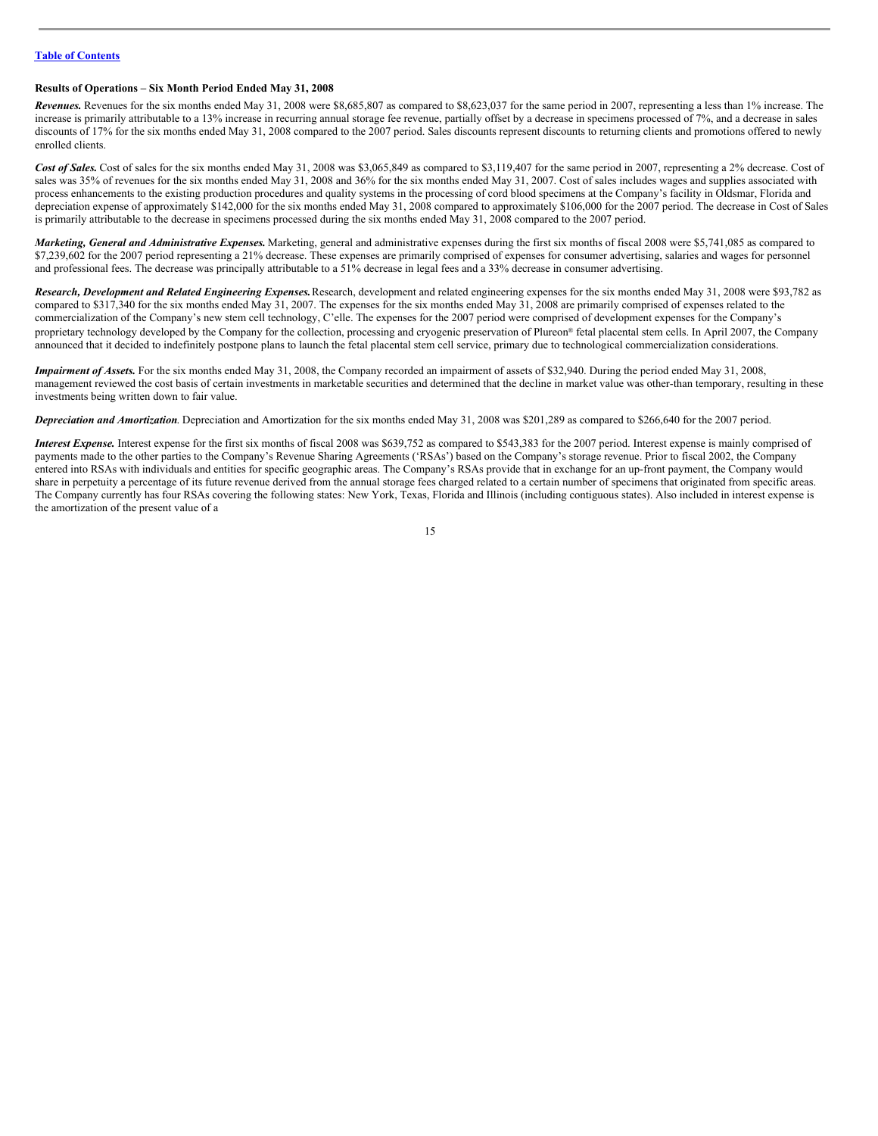## **Results of Operations – Six Month Period Ended May 31, 2008**

*Revenues.* Revenues for the six months ended May 31, 2008 were \$8,685,807 as compared to \$8,623,037 for the same period in 2007, representing a less than 1% increase. The increase is primarily attributable to a 13% increase in recurring annual storage fee revenue, partially offset by a decrease in specimens processed of 7%, and a decrease in sales discounts of 17% for the six months ended May 31, 2008 compared to the 2007 period. Sales discounts represent discounts to returning clients and promotions offered to newly enrolled clients.

Cost of Sales. Cost of sales for the six months ended May 31, 2008 was \$3,065,849 as compared to \$3,119,407 for the same period in 2007, representing a 2% decrease. Cost of sales was 35% of revenues for the six months ended May 31, 2008 and 36% for the six months ended May 31, 2007. Cost of sales includes wages and supplies associated with process enhancements to the existing production procedures and quality systems in the processing of cord blood specimens at the Company's facility in Oldsmar, Florida and depreciation expense of approximately \$142,000 for the six months ended May 31, 2008 compared to approximately \$106,000 for the 2007 period. The decrease in Cost of Sales is primarily attributable to the decrease in specimens processed during the six months ended May 31, 2008 compared to the 2007 period.

*Marketing, General and Administrative Expenses.* Marketing, general and administrative expenses during the first six months of fiscal 2008 were \$5,741,085 as compared to \$7,239,602 for the 2007 period representing a 21% decrease. These expenses are primarily comprised of expenses for consumer advertising, salaries and wages for personnel and professional fees. The decrease was principally attributable to a 51% decrease in legal fees and a 33% decrease in consumer advertising.

*Research, Development and Related Engineering Expenses.*Research, development and related engineering expenses for the six months ended May 31, 2008 were \$93,782 as compared to \$317,340 for the six months ended May 31, 2007. The expenses for the six months ended May 31, 2008 are primarily comprised of expenses related to the commercialization of the Company's new stem cell technology, C'elle. The expenses for the 2007 period were comprised of development expenses for the Company's proprietary technology developed by the Company for the collection, processing and cryogenic preservation of Plureon® fetal placental stem cells. In April 2007, the Company announced that it decided to indefinitely postpone plans to launch the fetal placental stem cell service, primary due to technological commercialization considerations.

*Impairment of Assets.* For the six months ended May 31, 2008, the Company recorded an impairment of assets of \$32,940. During the period ended May 31, 2008, management reviewed the cost basis of certain investments in marketable securities and determined that the decline in market value was other-than temporary, resulting in these investments being written down to fair value.

*Depreciation and Amortization*. Depreciation and Amortization for the six months ended May 31, 2008 was \$201,289 as compared to \$266,640 for the 2007 period.

*Interest Expense.* Interest expense for the first six months of fiscal 2008 was \$639,752 as compared to \$543,383 for the 2007 period. Interest expense is mainly comprised of payments made to the other parties to the Company's Revenue Sharing Agreements ('RSAs') based on the Company's storage revenue. Prior to fiscal 2002, the Company entered into RSAs with individuals and entities for specific geographic areas. The Company's RSAs provide that in exchange for an up-front payment, the Company would share in perpetuity a percentage of its future revenue derived from the annual storage fees charged related to a certain number of specimens that originated from specific areas. The Company currently has four RSAs covering the following states: New York, Texas, Florida and Illinois (including contiguous states). Also included in interest expense is the amortization of the present value of a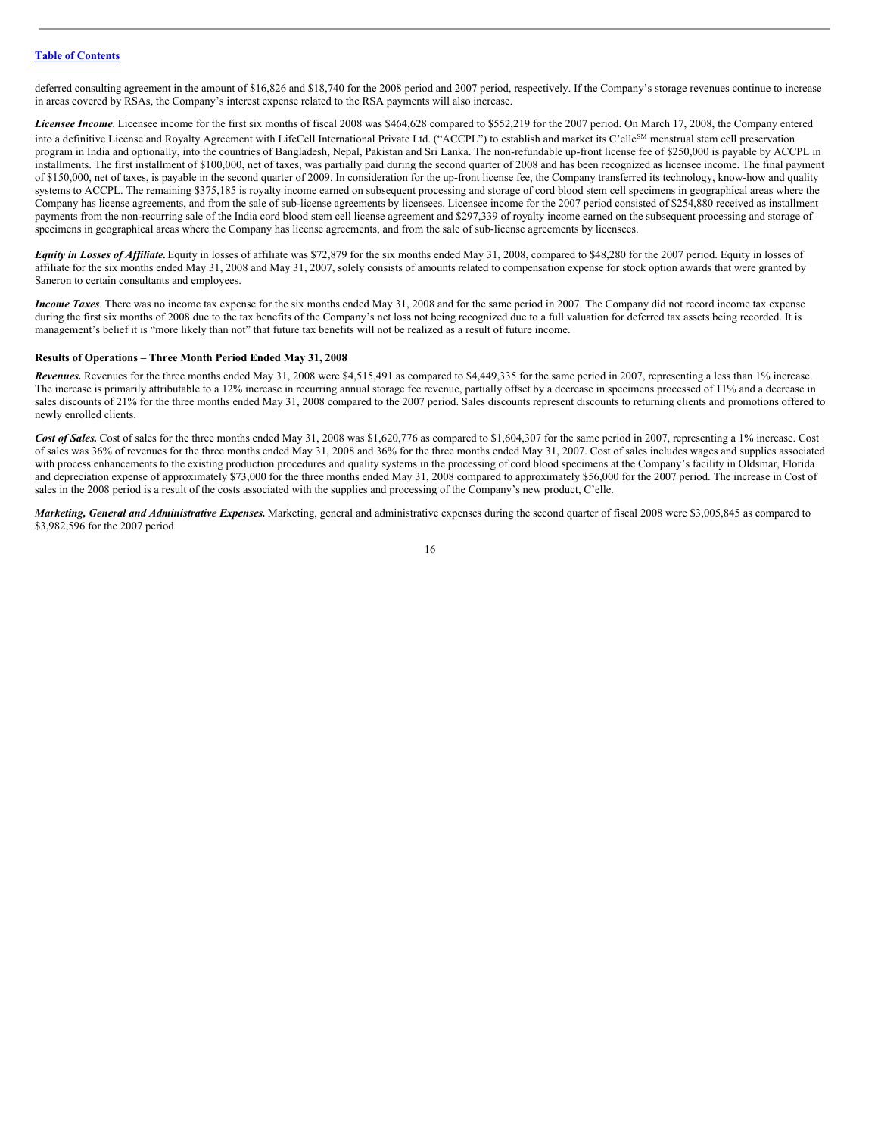deferred consulting agreement in the amount of \$16,826 and \$18,740 for the 2008 period and 2007 period, respectively. If the Company's storage revenues continue to increase in areas covered by RSAs, the Company's interest expense related to the RSA payments will also increase.

*Licensee Income*. Licensee income for the first six months of fiscal 2008 was \$464,628 compared to \$552,219 for the 2007 period. On March 17, 2008, the Company entered into a definitive License and Royalty Agreement with LifeCell International Private Ltd. ("ACCPL") to establish and market its C'elle<sup>SM</sup> menstrual stem cell preservation program in India and optionally, into the countries of Bangladesh, Nepal, Pakistan and Sri Lanka. The non-refundable up-front license fee of \$250,000 is payable by ACCPL in installments. The first installment of \$100,000, net of taxes, was partially paid during the second quarter of 2008 and has been recognized as licensee income. The final payment of \$150,000, net of taxes, is payable in the second quarter of 2009. In consideration for the up-front license fee, the Company transferred its technology, know-how and quality systems to ACCPL. The remaining \$375,185 is royalty income earned on subsequent processing and storage of cord blood stem cell specimens in geographical areas where the Company has license agreements, and from the sale of sub-license agreements by licensees. Licensee income for the 2007 period consisted of \$254,880 received as installment payments from the non-recurring sale of the India cord blood stem cell license agreement and \$297,339 of royalty income earned on the subsequent processing and storage of specimens in geographical areas where the Company has license agreements, and from the sale of sub-license agreements by licensees.

*Equity in Losses of Affiliate*. Equity in losses of affiliate was \$72,879 for the six months ended May 31, 2008, compared to \$48,280 for the 2007 period. Equity in losses of affiliate for the six months ended May 31, 2008 and May 31, 2007, solely consists of amounts related to compensation expense for stock option awards that were granted by Saneron to certain consultants and employees.

*Income Taxes*. There was no income tax expense for the six months ended May 31, 2008 and for the same period in 2007. The Company did not record income tax expense during the first six months of 2008 due to the tax benefits of the Company's net loss not being recognized due to a full valuation for deferred tax assets being recorded. It is management's belief it is "more likely than not" that future tax benefits will not be realized as a result of future income.

#### **Results of Operations – Three Month Period Ended May 31, 2008**

*Revenues.* Revenues for the three months ended May 31, 2008 were \$4,515,491 as compared to \$4,449,335 for the same period in 2007, representing a less than 1% increase. The increase is primarily attributable to a 12% increase in recurring annual storage fee revenue, partially offset by a decrease in specimens processed of 11% and a decrease in sales discounts of 21% for the three months ended May 31, 2008 compared to the 2007 period. Sales discounts represent discounts to returning clients and promotions offered to newly enrolled clients.

Cost of Sales. Cost of sales for the three months ended May 31, 2008 was \$1,620,776 as compared to \$1,604,307 for the same period in 2007, representing a 1% increase. Cost of sales was 36% of revenues for the three months ended May 31, 2008 and 36% for the three months ended May 31, 2007. Cost of sales includes wages and supplies associated with process enhancements to the existing production procedures and quality systems in the processing of cord blood specimens at the Company's facility in Oldsmar, Florida and depreciation expense of approximately \$73,000 for the three months ended May 31, 2008 compared to approximately \$56,000 for the 2007 period. The increase in Cost of sales in the 2008 period is a result of the costs associated with the supplies and processing of the Company's new product, C'elle.

*Marketing, General and Administrative Expenses.* Marketing, general and administrative expenses during the second quarter of fiscal 2008 were \$3,005,845 as compared to \$3,982,596 for the 2007 period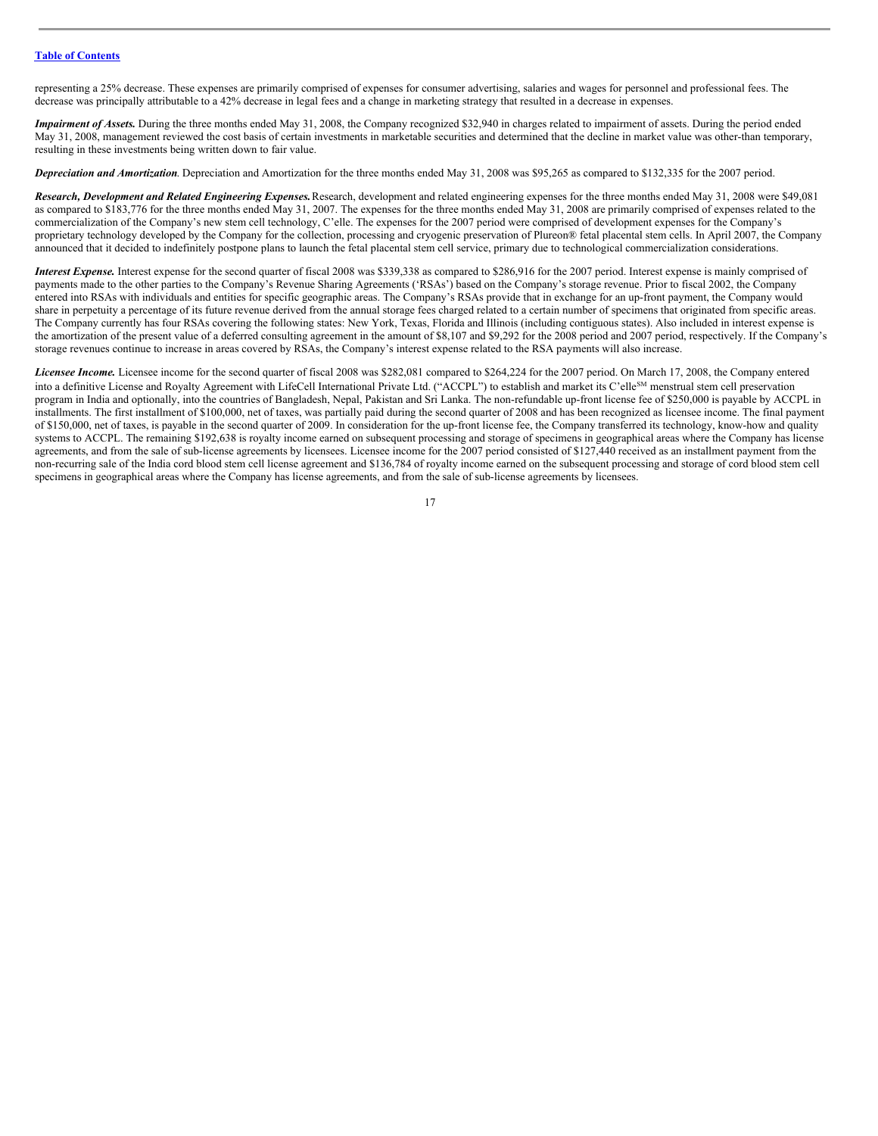representing a 25% decrease. These expenses are primarily comprised of expenses for consumer advertising, salaries and wages for personnel and professional fees. The decrease was principally attributable to a 42% decrease in legal fees and a change in marketing strategy that resulted in a decrease in expenses.

*Impairment of Assets.* During the three months ended May 31, 2008, the Company recognized \$32,940 in charges related to impairment of assets. During the period ended May 31, 2008, management reviewed the cost basis of certain investments in marketable securities and determined that the decline in market value was other-than temporary, resulting in these investments being written down to fair value.

*Depreciation and Amortization*. Depreciation and Amortization for the three months ended May 31, 2008 was \$95,265 as compared to \$132,335 for the 2007 period.

*Research, Development and Related Engineering Expenses.*Research, development and related engineering expenses for the three months ended May 31, 2008 were \$49,081 as compared to \$183,776 for the three months ended May 31, 2007. The expenses for the three months ended May 31, 2008 are primarily comprised of expenses related to the commercialization of the Company's new stem cell technology, C'elle. The expenses for the 2007 period were comprised of development expenses for the Company's proprietary technology developed by the Company for the collection, processing and cryogenic preservation of Plureon® fetal placental stem cells. In April 2007, the Company announced that it decided to indefinitely postpone plans to launch the fetal placental stem cell service, primary due to technological commercialization considerations.

*Interest Expense*. Interest expense for the second quarter of fiscal 2008 was \$339,338 as compared to \$286,916 for the 2007 period. Interest expense is mainly comprised of payments made to the other parties to the Company's Revenue Sharing Agreements ('RSAs') based on the Company's storage revenue. Prior to fiscal 2002, the Company entered into RSAs with individuals and entities for specific geographic areas. The Company's RSAs provide that in exchange for an up-front payment, the Company would share in perpetuity a percentage of its future revenue derived from the annual storage fees charged related to a certain number of specimens that originated from specific areas. The Company currently has four RSAs covering the following states: New York, Texas, Florida and Illinois (including contiguous states). Also included in interest expense is the amortization of the present value of a deferred consulting agreement in the amount of \$8,107 and \$9,292 for the 2008 period and 2007 period, respectively. If the Company's storage revenues continue to increase in areas covered by RSAs, the Company's interest expense related to the RSA payments will also increase.

*Licensee Income.* Licensee income for the second quarter of fiscal 2008 was \$282,081 compared to \$264,224 for the 2007 period. On March 17, 2008, the Company entered into a definitive License and Royalty Agreement with LifeCell International Private Ltd. ("ACCPL") to establish and market its C'elle<sup>SM</sup> menstrual stem cell preservation program in India and optionally, into the countries of Bangladesh, Nepal, Pakistan and Sri Lanka. The non-refundable up-front license fee of \$250,000 is payable by ACCPL in installments. The first installment of \$100,000, net of taxes, was partially paid during the second quarter of 2008 and has been recognized as licensee income. The final payment of \$150,000, net of taxes, is payable in the second quarter of 2009. In consideration for the up-front license fee, the Company transferred its technology, know-how and quality systems to ACCPL. The remaining \$192,638 is royalty income earned on subsequent processing and storage of specimens in geographical areas where the Company has license agreements, and from the sale of sub-license agreements by licensees. Licensee income for the 2007 period consisted of \$127,440 received as an installment payment from the non-recurring sale of the India cord blood stem cell license agreement and \$136,784 of royalty income earned on the subsequent processing and storage of cord blood stem cell specimens in geographical areas where the Company has license agreements, and from the sale of sub-license agreements by licensees.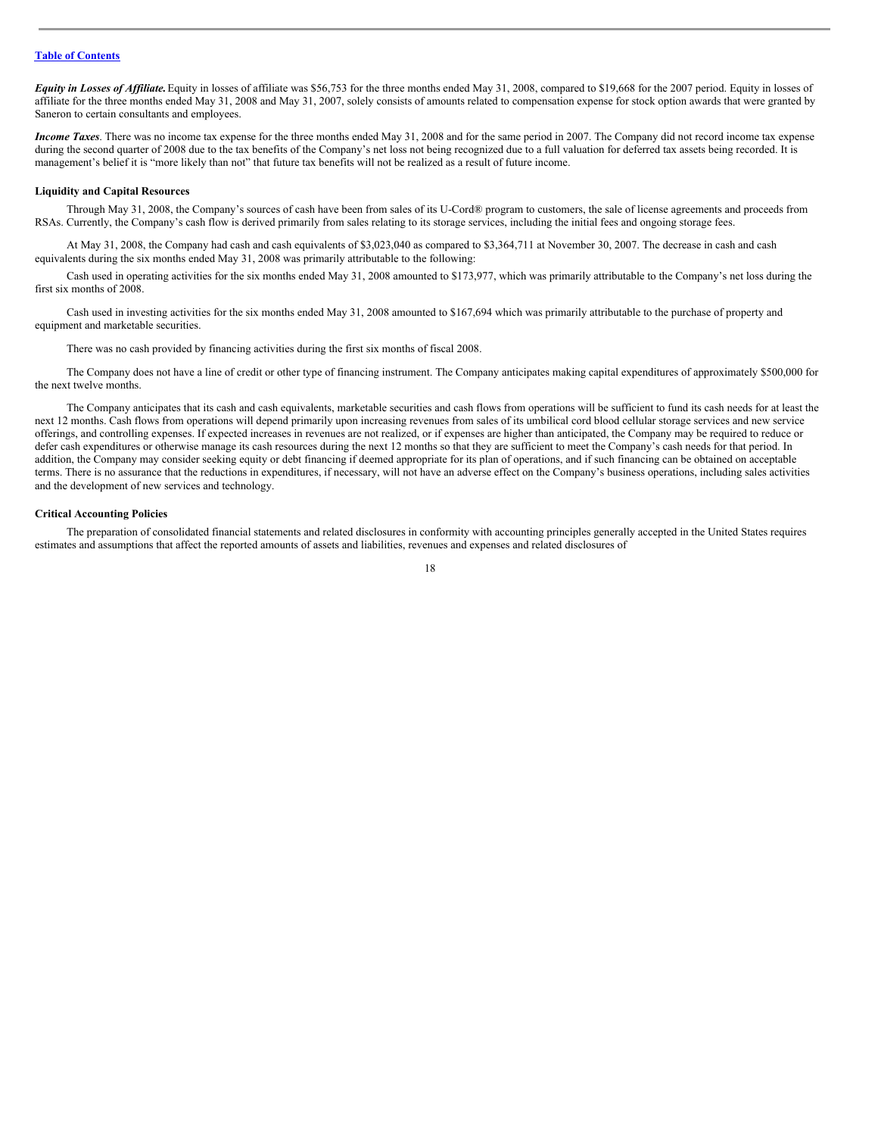*Equity in Losses of Affiliate*. Equity in losses of affiliate was \$56,753 for the three months ended May 31, 2008, compared to \$19,668 for the 2007 period. Equity in losses of affiliate for the three months ended May 31, 2008 and May 31, 2007, solely consists of amounts related to compensation expense for stock option awards that were granted by Saneron to certain consultants and employees.

*Income Taxes*. There was no income tax expense for the three months ended May 31, 2008 and for the same period in 2007. The Company did not record income tax expense during the second quarter of 2008 due to the tax benefits of the Company's net loss not being recognized due to a full valuation for deferred tax assets being recorded. It is management's belief it is "more likely than not" that future tax benefits will not be realized as a result of future income.

#### **Liquidity and Capital Resources**

Through May 31, 2008, the Company's sources of cash have been from sales of its U-Cord® program to customers, the sale of license agreements and proceeds from RSAs. Currently, the Company's cash flow is derived primarily from sales relating to its storage services, including the initial fees and ongoing storage fees.

At May 31, 2008, the Company had cash and cash equivalents of \$3,023,040 as compared to \$3,364,711 at November 30, 2007. The decrease in cash and cash equivalents during the six months ended May 31, 2008 was primarily attributable to the following:

Cash used in operating activities for the six months ended May 31, 2008 amounted to \$173,977, which was primarily attributable to the Company's net loss during the first six months of 2008.

Cash used in investing activities for the six months ended May 31, 2008 amounted to \$167,694 which was primarily attributable to the purchase of property and equipment and marketable securities.

There was no cash provided by financing activities during the first six months of fiscal 2008.

The Company does not have a line of credit or other type of financing instrument. The Company anticipates making capital expenditures of approximately \$500,000 for the next twelve months.

The Company anticipates that its cash and cash equivalents, marketable securities and cash flows from operations will be sufficient to fund its cash needs for at least the next 12 months. Cash flows from operations will depend primarily upon increasing revenues from sales of its umbilical cord blood cellular storage services and new service offerings, and controlling expenses. If expected increases in revenues are not realized, or if expenses are higher than anticipated, the Company may be required to reduce or defer cash expenditures or otherwise manage its cash resources during the next 12 months so that they are sufficient to meet the Company's cash needs for that period. In addition, the Company may consider seeking equity or debt financing if deemed appropriate for its plan of operations, and if such financing can be obtained on acceptable terms. There is no assurance that the reductions in expenditures, if necessary, will not have an adverse effect on the Company's business operations, including sales activities and the development of new services and technology.

#### **Critical Accounting Policies**

The preparation of consolidated financial statements and related disclosures in conformity with accounting principles generally accepted in the United States requires estimates and assumptions that affect the reported amounts of assets and liabilities, revenues and expenses and related disclosures of

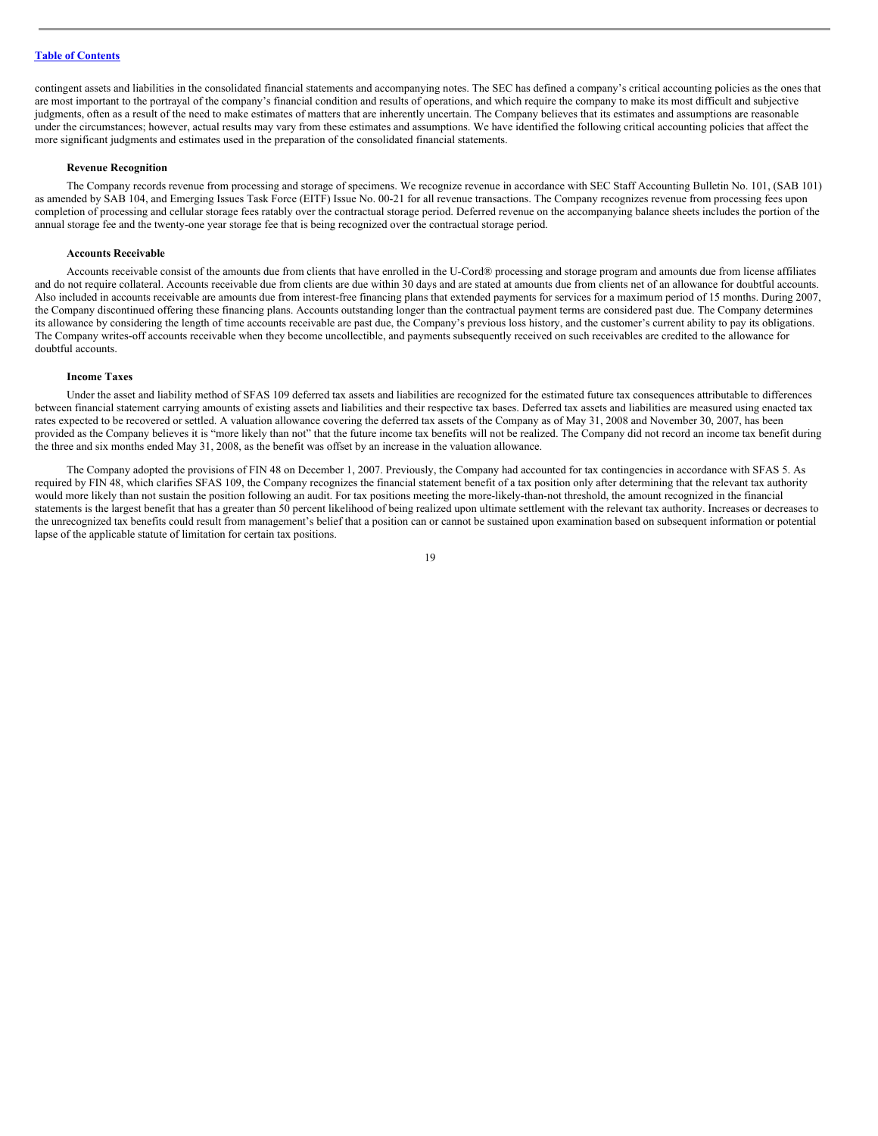contingent assets and liabilities in the consolidated financial statements and accompanying notes. The SEC has defined a company's critical accounting policies as the ones that are most important to the portrayal of the company's financial condition and results of operations, and which require the company to make its most difficult and subjective judgments, often as a result of the need to make estimates of matters that are inherently uncertain. The Company believes that its estimates and assumptions are reasonable under the circumstances; however, actual results may vary from these estimates and assumptions. We have identified the following critical accounting policies that affect the more significant judgments and estimates used in the preparation of the consolidated financial statements.

#### **Revenue Recognition**

The Company records revenue from processing and storage of specimens. We recognize revenue in accordance with SEC Staff Accounting Bulletin No. 101, (SAB 101) as amended by SAB 104, and Emerging Issues Task Force (EITF) Issue No. 00-21 for all revenue transactions. The Company recognizes revenue from processing fees upon completion of processing and cellular storage fees ratably over the contractual storage period. Deferred revenue on the accompanying balance sheets includes the portion of the annual storage fee and the twenty-one year storage fee that is being recognized over the contractual storage period.

## **Accounts Receivable**

Accounts receivable consist of the amounts due from clients that have enrolled in the U-Cord® processing and storage program and amounts due from license affiliates and do not require collateral. Accounts receivable due from clients are due within 30 days and are stated at amounts due from clients net of an allowance for doubtful accounts. Also included in accounts receivable are amounts due from interest-free financing plans that extended payments for services for a maximum period of 15 months. During 2007, the Company discontinued offering these financing plans. Accounts outstanding longer than the contractual payment terms are considered past due. The Company determines its allowance by considering the length of time accounts receivable are past due, the Company's previous loss history, and the customer's current ability to pay its obligations. The Company writes-off accounts receivable when they become uncollectible, and payments subsequently received on such receivables are credited to the allowance for doubtful accounts.

## **Income Taxes**

Under the asset and liability method of SFAS 109 deferred tax assets and liabilities are recognized for the estimated future tax consequences attributable to differences between financial statement carrying amounts of existing assets and liabilities and their respective tax bases. Deferred tax assets and liabilities are measured using enacted tax rates expected to be recovered or settled. A valuation allowance covering the deferred tax assets of the Company as of May 31, 2008 and November 30, 2007, has been provided as the Company believes it is "more likely than not" that the future income tax benefits will not be realized. The Company did not record an income tax benefit during the three and six months ended May 31, 2008, as the benefit was offset by an increase in the valuation allowance.

The Company adopted the provisions of FIN 48 on December 1, 2007. Previously, the Company had accounted for tax contingencies in accordance with SFAS 5. As required by FIN 48, which clarifies SFAS 109, the Company recognizes the financial statement benefit of a tax position only after determining that the relevant tax authority would more likely than not sustain the position following an audit. For tax positions meeting the more-likely-than-not threshold, the amount recognized in the financial statements is the largest benefit that has a greater than 50 percent likelihood of being realized upon ultimate settlement with the relevant tax authority. Increases or decreases to the unrecognized tax benefits could result from management's belief that a position can or cannot be sustained upon examination based on subsequent information or potential lapse of the applicable statute of limitation for certain tax positions.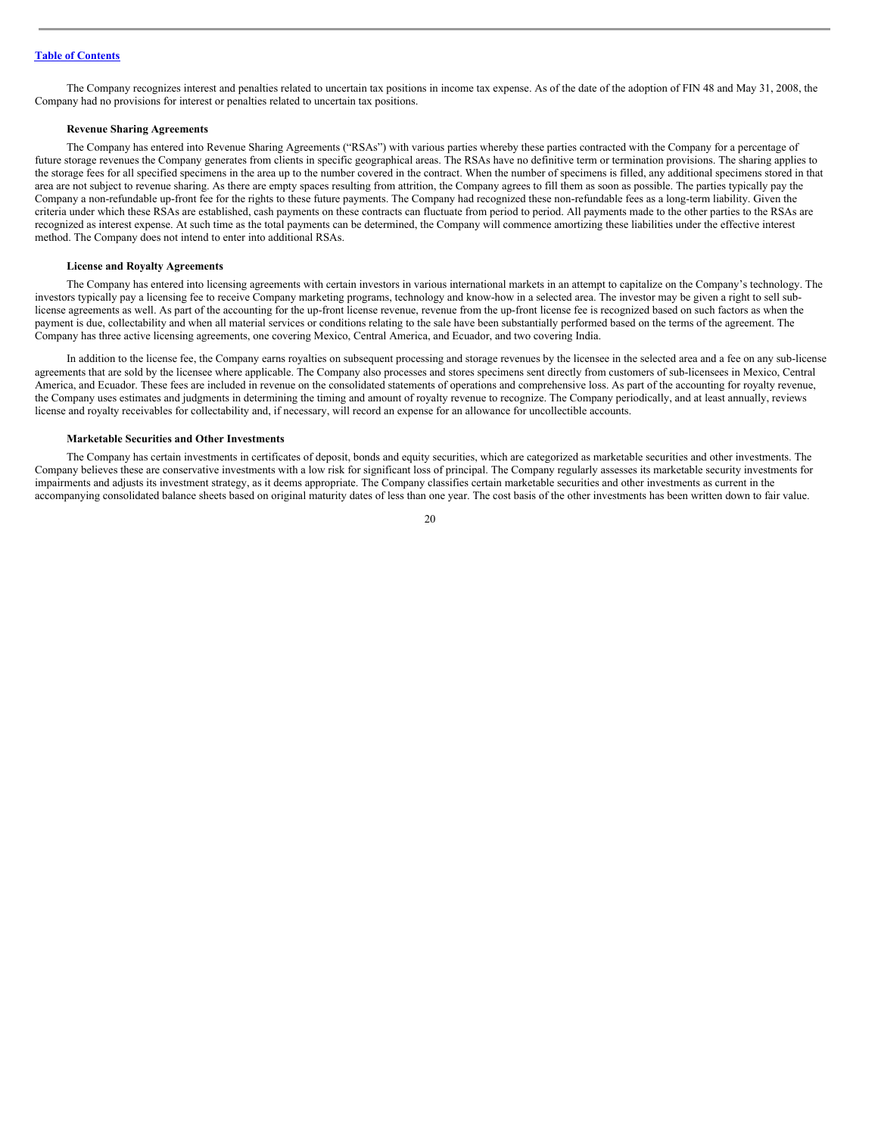The Company recognizes interest and penalties related to uncertain tax positions in income tax expense. As of the date of the adoption of FIN 48 and May 31, 2008, the Company had no provisions for interest or penalties related to uncertain tax positions.

#### **Revenue Sharing Agreements**

The Company has entered into Revenue Sharing Agreements ("RSAs") with various parties whereby these parties contracted with the Company for a percentage of future storage revenues the Company generates from clients in specific geographical areas. The RSAs have no definitive term or termination provisions. The sharing applies to the storage fees for all specified specimens in the area up to the number covered in the contract. When the number of specimens is filled, any additional specimens stored in that area are not subject to revenue sharing. As there are empty spaces resulting from attrition, the Company agrees to fill them as soon as possible. The parties typically pay the Company a non-refundable up-front fee for the rights to these future payments. The Company had recognized these non-refundable fees as a long-term liability. Given the criteria under which these RSAs are established, cash payments on these contracts can fluctuate from period to period. All payments made to the other parties to the RSAs are recognized as interest expense. At such time as the total payments can be determined, the Company will commence amortizing these liabilities under the effective interest method. The Company does not intend to enter into additional RSAs.

## **License and Royalty Agreements**

The Company has entered into licensing agreements with certain investors in various international markets in an attempt to capitalize on the Company's technology. The investors typically pay a licensing fee to receive Company marketing programs, technology and know-how in a selected area. The investor may be given a right to sell sublicense agreements as well. As part of the accounting for the up-front license revenue, revenue from the up-front license fee is recognized based on such factors as when the payment is due, collectability and when all material services or conditions relating to the sale have been substantially performed based on the terms of the agreement. The Company has three active licensing agreements, one covering Mexico, Central America, and Ecuador, and two covering India.

In addition to the license fee, the Company earns royalties on subsequent processing and storage revenues by the licensee in the selected area and a fee on any sub-license agreements that are sold by the licensee where applicable. The Company also processes and stores specimens sent directly from customers of sub-licensees in Mexico, Central America, and Ecuador. These fees are included in revenue on the consolidated statements of operations and comprehensive loss. As part of the accounting for royalty revenue, the Company uses estimates and judgments in determining the timing and amount of royalty revenue to recognize. The Company periodically, and at least annually, reviews license and royalty receivables for collectability and, if necessary, will record an expense for an allowance for uncollectible accounts.

## **Marketable Securities and Other Investments**

The Company has certain investments in certificates of deposit, bonds and equity securities, which are categorized as marketable securities and other investments. The Company believes these are conservative investments with a low risk for significant loss of principal. The Company regularly assesses its marketable security investments for impairments and adjusts its investment strategy, as it deems appropriate. The Company classifies certain marketable securities and other investments as current in the accompanying consolidated balance sheets based on original maturity dates of less than one year. The cost basis of the other investments has been written down to fair value.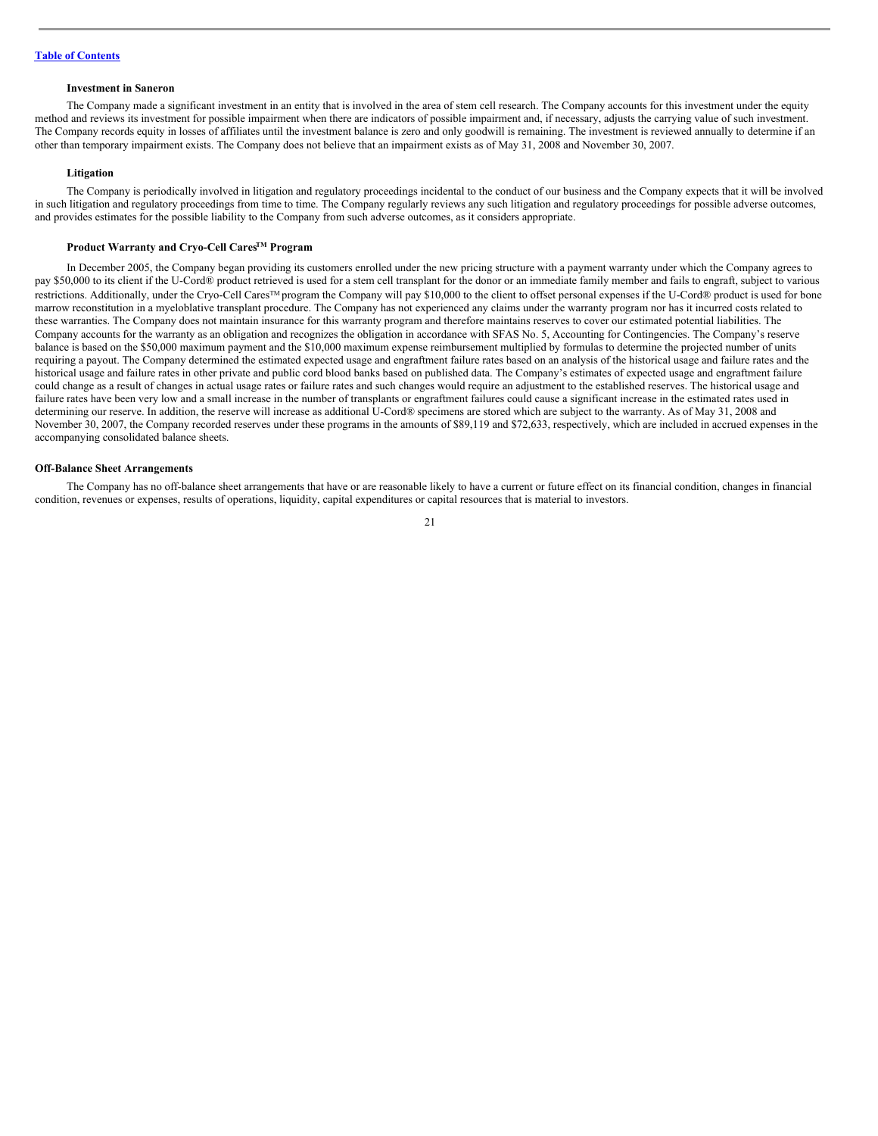## **Investment in Saneron**

The Company made a significant investment in an entity that is involved in the area of stem cell research. The Company accounts for this investment under the equity method and reviews its investment for possible impairment when there are indicators of possible impairment and, if necessary, adjusts the carrying value of such investment. The Company records equity in losses of affiliates until the investment balance is zero and only goodwill is remaining. The investment is reviewed annually to determine if an other than temporary impairment exists. The Company does not believe that an impairment exists as of May 31, 2008 and November 30, 2007.

#### **Litigation**

The Company is periodically involved in litigation and regulatory proceedings incidental to the conduct of our business and the Company expects that it will be involved in such litigation and regulatory proceedings from time to time. The Company regularly reviews any such litigation and regulatory proceedings for possible adverse outcomes, and provides estimates for the possible liability to the Company from such adverse outcomes, as it considers appropriate.

### **Product Warranty and Cryo-Cell CaresTM Program**

In December 2005, the Company began providing its customers enrolled under the new pricing structure with a payment warranty under which the Company agrees to pay \$50,000 to its client if the U-Cord® product retrieved is used for a stem cell transplant for the donor or an immediate family member and fails to engraft, subject to various restrictions. Additionally, under the Cryo-Cell Cares<sup>™</sup> program the Company will pay \$10,000 to the client to offset personal expenses if the U-Cord® product is used for bone marrow reconstitution in a myeloblative transplant procedure. The Company has not experienced any claims under the warranty program nor has it incurred costs related to these warranties. The Company does not maintain insurance for this warranty program and therefore maintains reserves to cover our estimated potential liabilities. The Company accounts for the warranty as an obligation and recognizes the obligation in accordance with SFAS No. 5, Accounting for Contingencies. The Company's reserve balance is based on the \$50,000 maximum payment and the \$10,000 maximum expense reimbursement multiplied by formulas to determine the projected number of units requiring a payout. The Company determined the estimated expected usage and engraftment failure rates based on an analysis of the historical usage and failure rates and the historical usage and failure rates in other private and public cord blood banks based on published data. The Company's estimates of expected usage and engraftment failure could change as a result of changes in actual usage rates or failure rates and such changes would require an adjustment to the established reserves. The historical usage and failure rates have been very low and a small increase in the number of transplants or engraftment failures could cause a significant increase in the estimated rates used in determining our reserve. In addition, the reserve will increase as additional U-Cord® specimens are stored which are subject to the warranty. As of May 31, 2008 and November 30, 2007, the Company recorded reserves under these programs in the amounts of \$89,119 and \$72,633, respectively, which are included in accrued expenses in the accompanying consolidated balance sheets.

#### **Off-Balance Sheet Arrangements**

The Company has no off-balance sheet arrangements that have or are reasonable likely to have a current or future effect on its financial condition, changes in financial condition, revenues or expenses, results of operations, liquidity, capital expenditures or capital resources that is material to investors.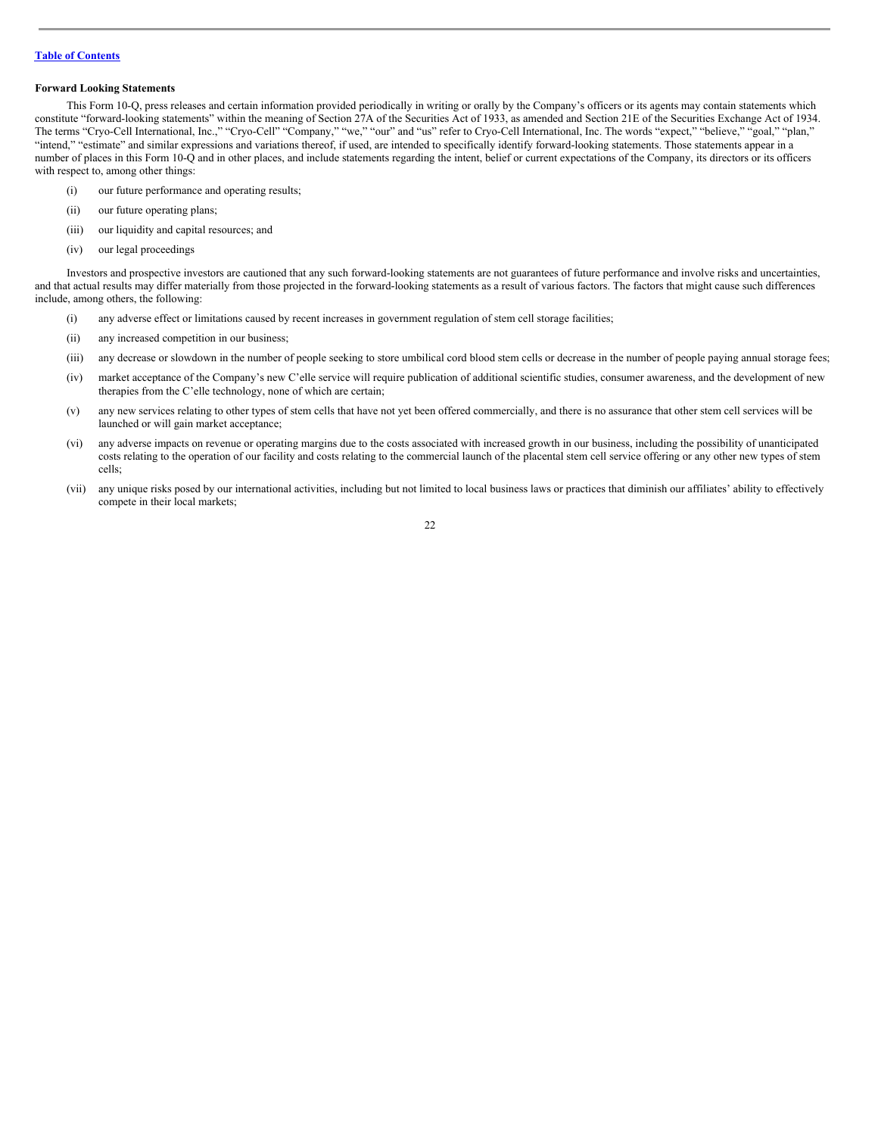### **Forward Looking Statements**

This Form 10-Q, press releases and certain information provided periodically in writing or orally by the Company's officers or its agents may contain statements which constitute "forward-looking statements" within the meaning of Section 27A of the Securities Act of 1933, as amended and Section 21E of the Securities Exchange Act of 1934. The terms "Cryo-Cell International, Inc.," "Cryo-Cell" "Company," "we," "our" and "us" refer to Cryo-Cell International, Inc. The words "expect," "believe," "goal," "plan," "intend," "estimate" and similar expressions and variations thereof, if used, are intended to specifically identify forward-looking statements. Those statements appear in a number of places in this Form 10-Q and in other places, and include statements regarding the intent, belief or current expectations of the Company, its directors or its officers with respect to, among other things:

- (i) our future performance and operating results;
- (ii) our future operating plans;
- (iii) our liquidity and capital resources; and
- (iv) our legal proceedings

Investors and prospective investors are cautioned that any such forward-looking statements are not guarantees of future performance and involve risks and uncertainties, and that actual results may differ materially from those projected in the forward-looking statements as a result of various factors. The factors that might cause such differences include, among others, the following:

- (i) any adverse effect or limitations caused by recent increases in government regulation of stem cell storage facilities;
- (ii) any increased competition in our business;
- (iii) any decrease or slowdown in the number of people seeking to store umbilical cord blood stem cells or decrease in the number of people paying annual storage fees;
- (iv) market acceptance of the Company's new C'elle service will require publication of additional scientific studies, consumer awareness, and the development of new therapies from the C'elle technology, none of which are certain;
- (v) any new services relating to other types of stem cells that have not yet been offered commercially, and there is no assurance that other stem cell services will be launched or will gain market acceptance;
- (vi) any adverse impacts on revenue or operating margins due to the costs associated with increased growth in our business, including the possibility of unanticipated costs relating to the operation of our facility and costs relating to the commercial launch of the placental stem cell service offering or any other new types of stem cells;
- (vii) any unique risks posed by our international activities, including but not limited to local business laws or practices that diminish our affiliates' ability to effectively compete in their local markets;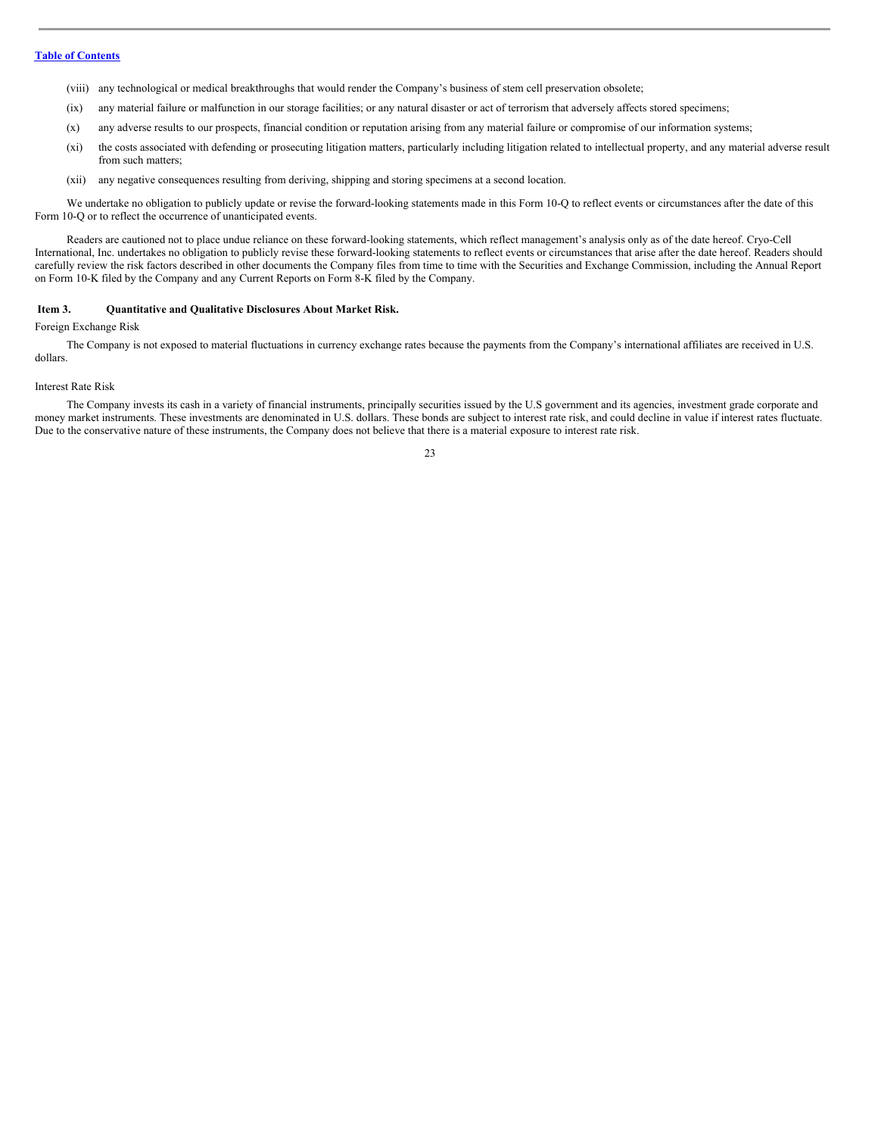- (viii) any technological or medical breakthroughs that would render the Company's business of stem cell preservation obsolete;
- (ix) any material failure or malfunction in our storage facilities; or any natural disaster or act of terrorism that adversely affects stored specimens;
- (x) any adverse results to our prospects, financial condition or reputation arising from any material failure or compromise of our information systems;
- (xi) the costs associated with defending or prosecuting litigation matters, particularly including litigation related to intellectual property, and any material adverse result from such matters;
- (xii) any negative consequences resulting from deriving, shipping and storing specimens at a second location.

We undertake no obligation to publicly update or revise the forward-looking statements made in this Form 10-Q to reflect events or circumstances after the date of this Form 10-Q or to reflect the occurrence of unanticipated events.

Readers are cautioned not to place undue reliance on these forward-looking statements, which reflect management's analysis only as of the date hereof. Cryo-Cell International, Inc. undertakes no obligation to publicly revise these forward-looking statements to reflect events or circumstances that arise after the date hereof. Readers should carefully review the risk factors described in other documents the Company files from time to time with the Securities and Exchange Commission, including the Annual Report on Form 10-K filed by the Company and any Current Reports on Form 8-K filed by the Company.

#### <span id="page-22-0"></span>**Item 3. Quantitative and Qualitative Disclosures About Market Risk.**

#### Foreign Exchange Risk

The Company is not exposed to material fluctuations in currency exchange rates because the payments from the Company's international affiliates are received in U.S. dollars.

#### Interest Rate Risk

The Company invests its cash in a variety of financial instruments, principally securities issued by the U.S government and its agencies, investment grade corporate and money market instruments. These investments are denominated in U.S. dollars. These bonds are subject to interest rate risk, and could decline in value if interest rates fluctuate. Due to the conservative nature of these instruments, the Company does not believe that there is a material exposure to interest rate risk.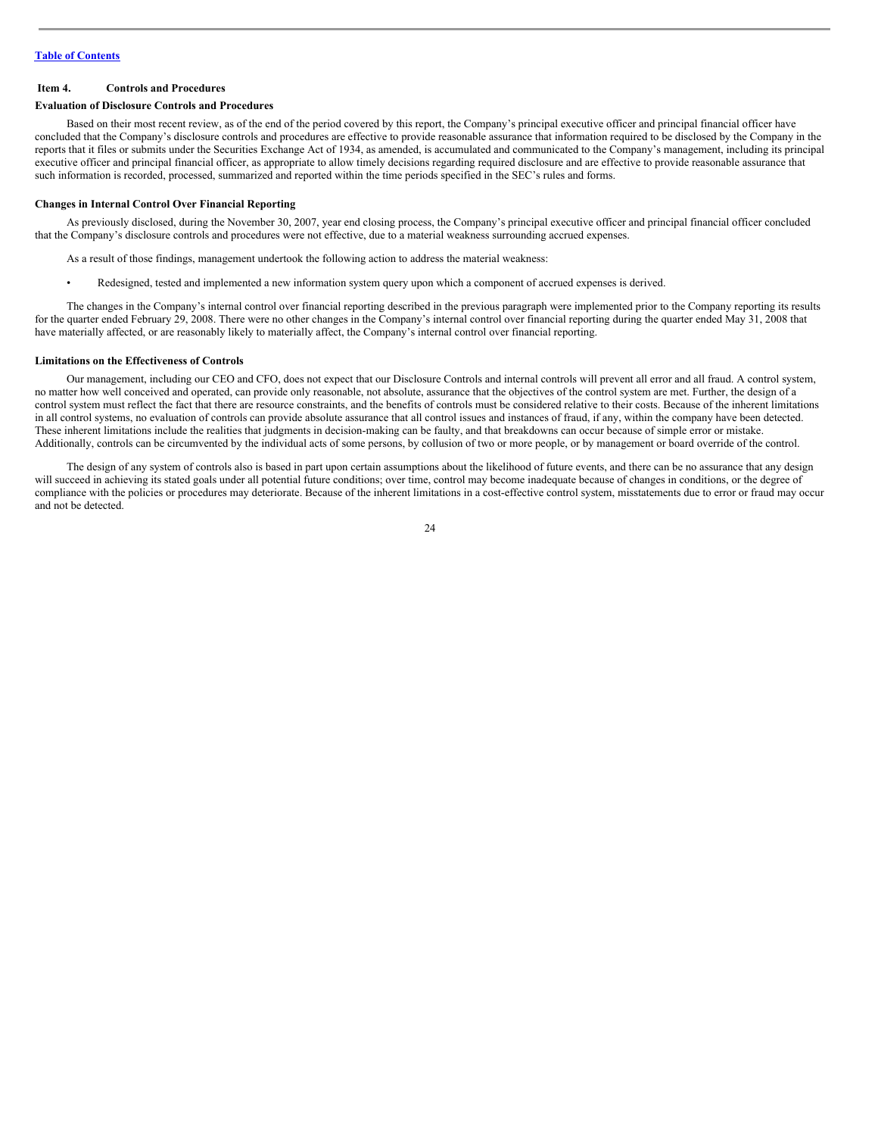## <span id="page-23-0"></span>**Item 4. Controls and Procedures**

#### **Evaluation of Disclosure Controls and Procedures**

Based on their most recent review, as of the end of the period covered by this report, the Company's principal executive officer and principal financial officer have concluded that the Company's disclosure controls and procedures are effective to provide reasonable assurance that information required to be disclosed by the Company in the reports that it files or submits under the Securities Exchange Act of 1934, as amended, is accumulated and communicated to the Company's management, including its principal executive officer and principal financial officer, as appropriate to allow timely decisions regarding required disclosure and are effective to provide reasonable assurance that such information is recorded, processed, summarized and reported within the time periods specified in the SEC's rules and forms.

## **Changes in Internal Control Over Financial Reporting**

As previously disclosed, during the November 30, 2007, year end closing process, the Company's principal executive officer and principal financial officer concluded that the Company's disclosure controls and procedures were not effective, due to a material weakness surrounding accrued expenses.

- As a result of those findings, management undertook the following action to address the material weakness:
- Redesigned, tested and implemented a new information system query upon which a component of accrued expenses is derived.

The changes in the Company's internal control over financial reporting described in the previous paragraph were implemented prior to the Company reporting its results for the quarter ended February 29, 2008. There were no other changes in the Company's internal control over financial reporting during the quarter ended May 31, 2008 that have materially affected, or are reasonably likely to materially affect, the Company's internal control over financial reporting.

## **Limitations on the Effectiveness of Controls**

Our management, including our CEO and CFO, does not expect that our Disclosure Controls and internal controls will prevent all error and all fraud. A control system, no matter how well conceived and operated, can provide only reasonable, not absolute, assurance that the objectives of the control system are met. Further, the design of a control system must reflect the fact that there are resource constraints, and the benefits of controls must be considered relative to their costs. Because of the inherent limitations in all control systems, no evaluation of controls can provide absolute assurance that all control issues and instances of fraud, if any, within the company have been detected. These inherent limitations include the realities that judgments in decision-making can be faulty, and that breakdowns can occur because of simple error or mistake. Additionally, controls can be circumvented by the individual acts of some persons, by collusion of two or more people, or by management or board override of the control.

The design of any system of controls also is based in part upon certain assumptions about the likelihood of future events, and there can be no assurance that any design will succeed in achieving its stated goals under all potential future conditions; over time, control may become inadequate because of changes in conditions, or the degree of compliance with the policies or procedures may deteriorate. Because of the inherent limitations in a cost-effective control system, misstatements due to error or fraud may occur and not be detected.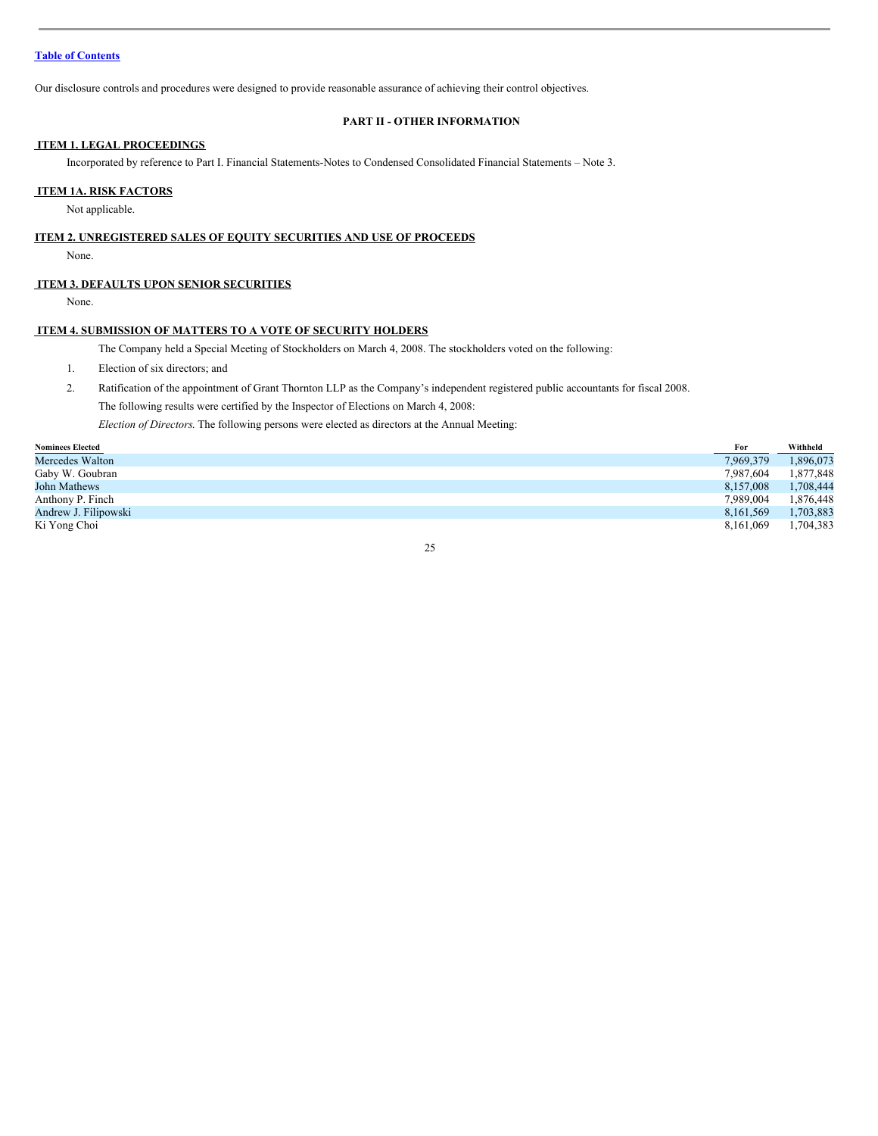Our disclosure controls and procedures were designed to provide reasonable assurance of achieving their control objectives.

## <span id="page-24-0"></span>**PART II - OTHER INFORMATION**

## <span id="page-24-1"></span>**ITEM 1. LEGAL PROCEEDINGS**

Incorporated by reference to Part I. Financial Statements-Notes to Condensed Consolidated Financial Statements – Note 3.

## <span id="page-24-2"></span>**ITEM 1A. RISK FACTORS**

Not applicable.

## **ITEM 2. UNREGISTERED SALES OF EQUITY SECURITIES AND USE OF PROCEEDS**

None.

## <span id="page-24-3"></span>**ITEM 3. DEFAULTS UPON SENIOR SECURITIES**

None.

## <span id="page-24-4"></span>**ITEM 4. SUBMISSION OF MATTERS TO A VOTE OF SECURITY HOLDERS**

The Company held a Special Meeting of Stockholders on March 4, 2008. The stockholders voted on the following:

- 1. Election of six directors; and
- 2. Ratification of the appointment of Grant Thornton LLP as the Company's independent registered public accountants for fiscal 2008. The following results were certified by the Inspector of Elections on March 4, 2008: *Election of Directors*. The following persons were elected as directors at the Annual Meeting:

| <b>Nominees Elected</b> | For       | Withheld  |
|-------------------------|-----------|-----------|
| Mercedes Walton         | 7.969.379 | 1,896,073 |
| Gaby W. Goubran         | 7.987.604 | 1,877,848 |
| John Mathews            | 8.157.008 | 1,708,444 |
| Anthony P. Finch        | 7.989.004 | 1.876.448 |
| Andrew J. Filipowski    | 8.161.569 | 1,703,883 |
| Ki Yong Choi            | 8.161.069 | 1,704,383 |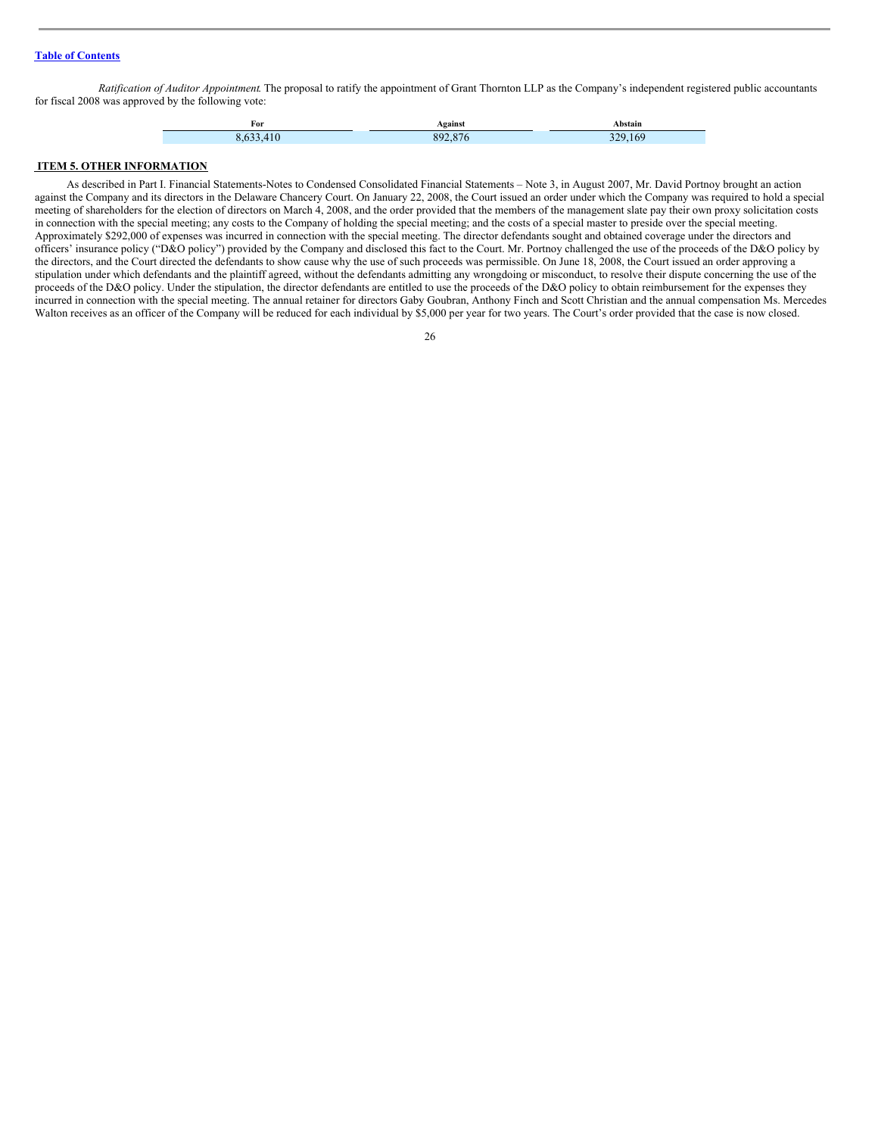*Ratification of Auditor Appointment*. The proposal to ratify the appointment of Grant Thornton LLP as the Company's independent registered public accountants for fiscal 2008 was approved by the following vote:

| For | gainst | ` bstain<br> |
|-----|--------|--------------|
|     | vœ     | $\sim$       |

## <span id="page-25-0"></span>**ITEM 5. OTHER INFORMATION**

As described in Part I. Financial Statements-Notes to Condensed Consolidated Financial Statements – Note 3, in August 2007, Mr. David Portnoy brought an action against the Company and its directors in the Delaware Chancery Court. On January 22, 2008, the Court issued an order under which the Company was required to hold a special meeting of shareholders for the election of directors on March 4, 2008, and the order provided that the members of the management slate pay their own proxy solicitation costs in connection with the special meeting; any costs to the Company of holding the special meeting; and the costs of a special master to preside over the special meeting. Approximately \$292,000 of expenses was incurred in connection with the special meeting. The director defendants sought and obtained coverage under the directors and officers' insurance policy ("D&O policy") provided by the Company and disclosed this fact to the Court. Mr. Portnoy challenged the use of the proceeds of the D&O policy by the directors, and the Court directed the defendants to show cause why the use of such proceeds was permissible. On June 18, 2008, the Court issued an order approving a stipulation under which defendants and the plaintiff agreed, without the defendants admitting any wrongdoing or misconduct, to resolve their dispute concerning the use of the proceeds of the D&O policy. Under the stipulation, the director defendants are entitled to use the proceeds of the D&O policy to obtain reimbursement for the expenses they incurred in connection with the special meeting. The annual retainer for directors Gaby Goubran, Anthony Finch and Scott Christian and the annual compensation Ms. Mercedes Walton receives as an officer of the Company will be reduced for each individual by \$5,000 per year for two years. The Court's order provided that the case is now closed.

<sup>26</sup>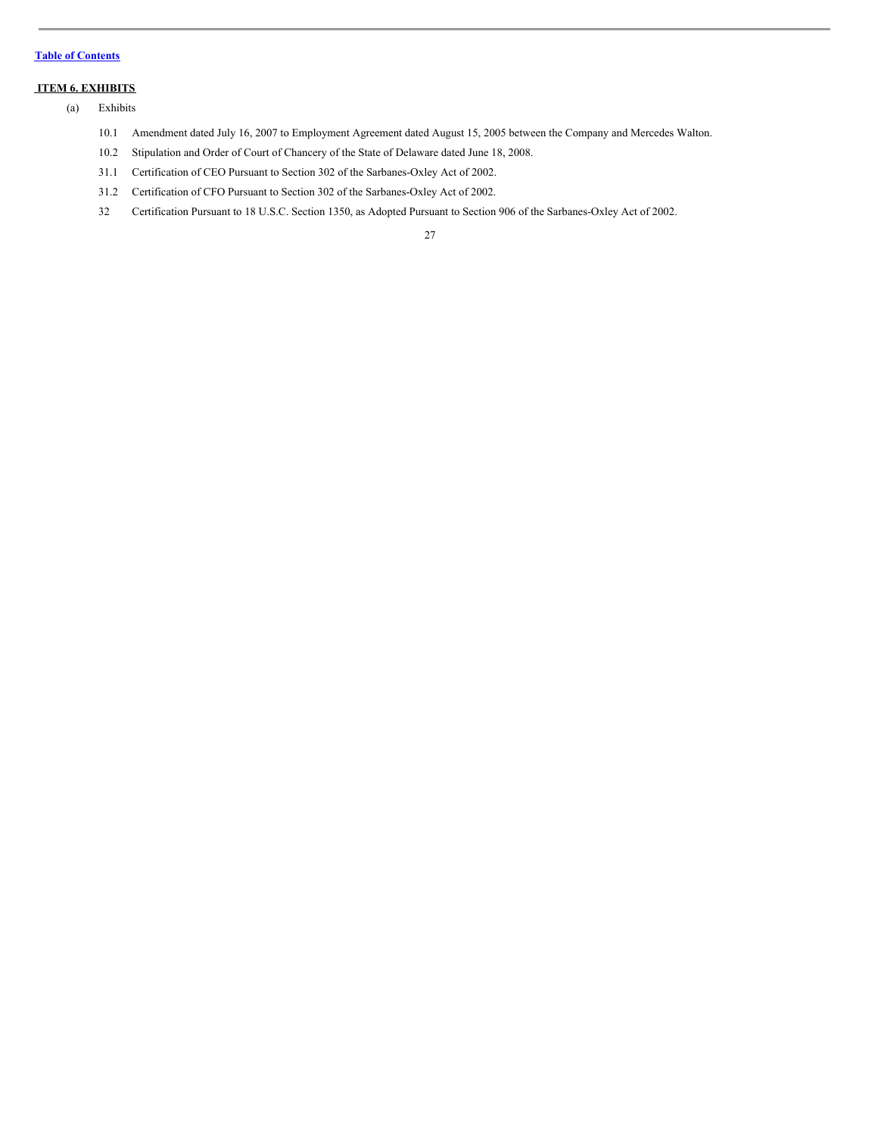## <span id="page-26-0"></span>**ITEM 6. EXHIBITS**

- (a) Exhibits
	- 10.1 Amendment dated July 16, 2007 to Employment Agreement dated August 15, 2005 between the Company and Mercedes Walton.
	- 10.2 Stipulation and Order of Court of Chancery of the State of Delaware dated June 18, 2008.
	- 31.1 Certification of CEO Pursuant to Section 302 of the Sarbanes-Oxley Act of 2002.
	- 31.2 Certification of CFO Pursuant to Section 302 of the Sarbanes-Oxley Act of 2002.
	- 32 Certification Pursuant to 18 U.S.C. Section 1350, as Adopted Pursuant to Section 906 of the Sarbanes-Oxley Act of 2002.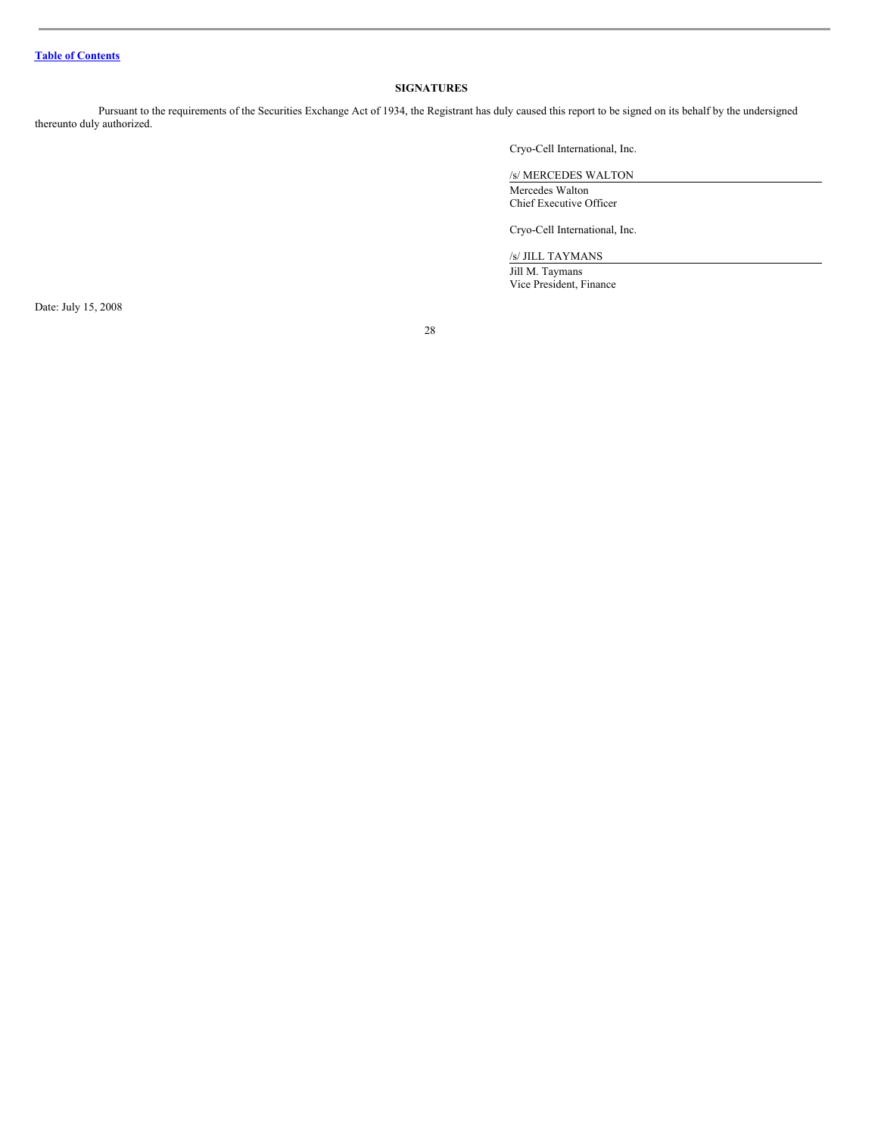## <span id="page-27-0"></span>**SIGNATURES**

Pursuant to the requirements of the Securities Exchange Act of 1934, the Registrant has duly caused this report to be signed on its behalf by the undersigned thereunto duly authorized.

Cryo-Cell International, Inc.

/s/ MERCEDES WALTON Mercedes Walton Chief Executive Officer

Cryo-Cell International, Inc.

/s/ JILL TAYMANS

Jill M. Taymans Vice President, Finance

Date: July 15, 2008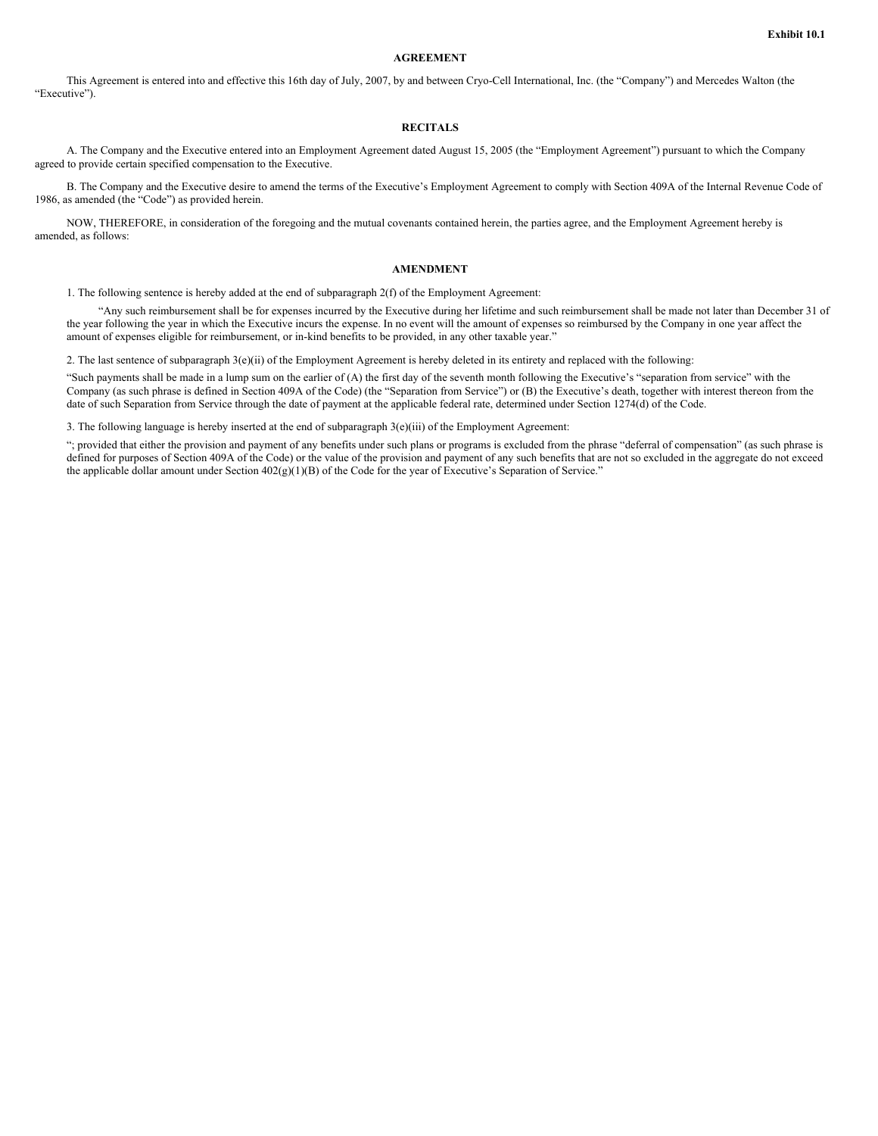## **AGREEMENT**

This Agreement is entered into and effective this 16th day of July, 2007, by and between Cryo-Cell International, Inc. (the "Company") and Mercedes Walton (the "Executive").

## **RECITALS**

A. The Company and the Executive entered into an Employment Agreement dated August 15, 2005 (the "Employment Agreement") pursuant to which the Company agreed to provide certain specified compensation to the Executive.

B. The Company and the Executive desire to amend the terms of the Executive's Employment Agreement to comply with Section 409A of the Internal Revenue Code of 1986, as amended (the "Code") as provided herein.

NOW, THEREFORE, in consideration of the foregoing and the mutual covenants contained herein, the parties agree, and the Employment Agreement hereby is amended, as follows:

#### **AMENDMENT**

1. The following sentence is hereby added at the end of subparagraph 2(f) of the Employment Agreement:

"Any such reimbursement shall be for expenses incurred by the Executive during her lifetime and such reimbursement shall be made not later than December 31 of the year following the year in which the Executive incurs the expense. In no event will the amount of expenses so reimbursed by the Company in one year affect the amount of expenses eligible for reimbursement, or in-kind benefits to be provided, in any other taxable year."

2. The last sentence of subparagraph  $3(e)$ (ii) of the Employment Agreement is hereby deleted in its entirety and replaced with the following:

"Such payments shall be made in a lump sum on the earlier of (A) the first day of the seventh month following the Executive's "separation from service" with the Company (as such phrase is defined in Section 409A of the Code) (the "Separation from Service") or (B) the Executive's death, together with interest thereon from the date of such Separation from Service through the date of payment at the applicable federal rate, determined under Section 1274(d) of the Code.

3. The following language is hereby inserted at the end of subparagraph 3(e)(iii) of the Employment Agreement:

"; provided that either the provision and payment of any benefits under such plans or programs is excluded from the phrase "deferral of compensation" (as such phrase is defined for purposes of Section 409A of the Code) or the value of the provision and payment of any such benefits that are not so excluded in the aggregate do not exceed the applicable dollar amount under Section 402(g)(1)(B) of the Code for the year of Executive's Separation of Service."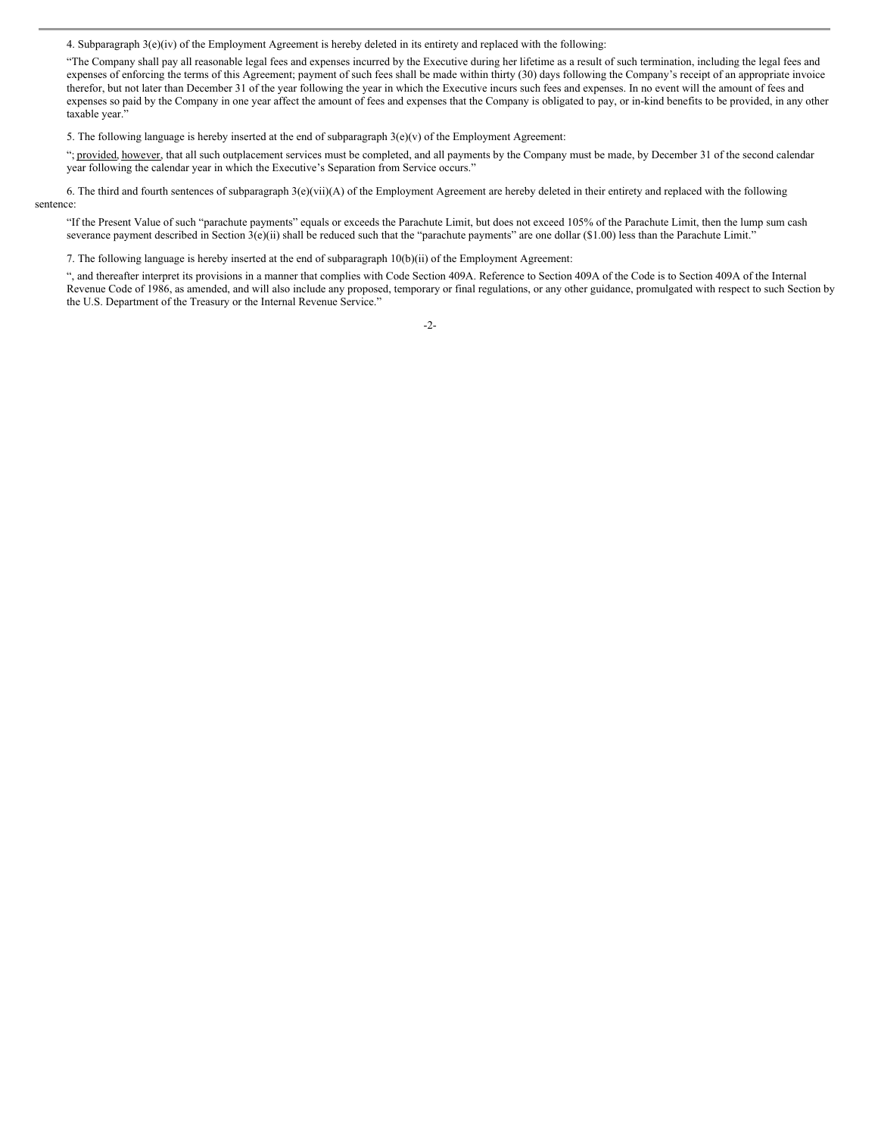4. Subparagraph  $3(e)(iv)$  of the Employment Agreement is hereby deleted in its entirety and replaced with the following:

"The Company shall pay all reasonable legal fees and expenses incurred by the Executive during her lifetime as a result of such termination, including the legal fees and expenses of enforcing the terms of this Agreement; payment of such fees shall be made within thirty (30) days following the Company's receipt of an appropriate invoice therefor, but not later than December 31 of the year following the year in which the Executive incurs such fees and expenses. In no event will the amount of fees and expenses so paid by the Company in one year affect the amount of fees and expenses that the Company is obligated to pay, or in-kind benefits to be provided, in any other taxable year."

5. The following language is hereby inserted at the end of subparagraph  $3(e)(v)$  of the Employment Agreement:

"; provided, however, that all such outplacement services must be completed, and all payments by the Company must be made, by December 31 of the second calendar year following the calendar year in which the Executive's Separation from Service occurs."

6. The third and fourth sentences of subparagraph 3(e)(vii)(A) of the Employment Agreement are hereby deleted in their entirety and replaced with the following sentence:

"If the Present Value of such "parachute payments" equals or exceeds the Parachute Limit, but does not exceed 105% of the Parachute Limit, then the lump sum cash severance payment described in Section  $3(e)(ii)$  shall be reduced such that the "parachute payments" are one dollar (\$1.00) less than the Parachute Limit."

7. The following language is hereby inserted at the end of subparagraph 10(b)(ii) of the Employment Agreement:

", and thereafter interpret its provisions in a manner that complies with Code Section 409A. Reference to Section 409A of the Code is to Section 409A of the Internal Revenue Code of 1986, as amended, and will also include any proposed, temporary or final regulations, or any other guidance, promulgated with respect to such Section by the U.S. Department of the Treasury or the Internal Revenue Service."

-2-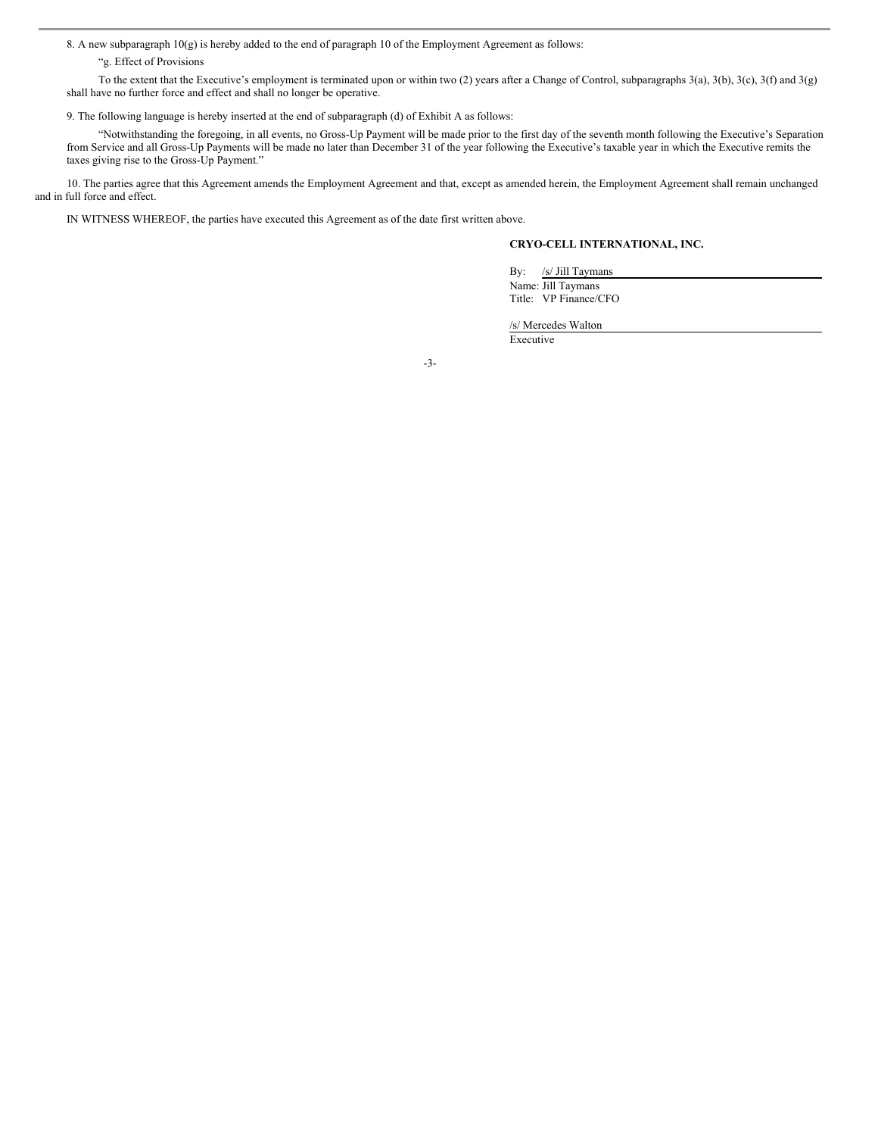8. A new subparagraph 10(g) is hereby added to the end of paragraph 10 of the Employment Agreement as follows:

"g. Effect of Provisions

To the extent that the Executive's employment is terminated upon or within two (2) years after a Change of Control, subparagraphs 3(a), 3(b), 3(c), 3(f) and 3(g) shall have no further force and effect and shall no longer be operative.

9. The following language is hereby inserted at the end of subparagraph (d) of Exhibit A as follows:

"Notwithstanding the foregoing, in all events, no Gross-Up Payment will be made prior to the first day of the seventh month following the Executive's Separation from Service and all Gross-Up Payments will be made no later than December 31 of the year following the Executive's taxable year in which the Executive remits the taxes giving rise to the Gross-Up Payment."

10. The parties agree that this Agreement amends the Employment Agreement and that, except as amended herein, the Employment Agreement shall remain unchanged and in full force and effect.

IN WITNESS WHEREOF, the parties have executed this Agreement as of the date first written above.

## **CRYO-CELL INTERNATIONAL, INC.**

By: /s/ Jill Taymans Name: Jill Taymans Title: VP Finance/CFO

/s/ Mercedes Walton

Executive

-3-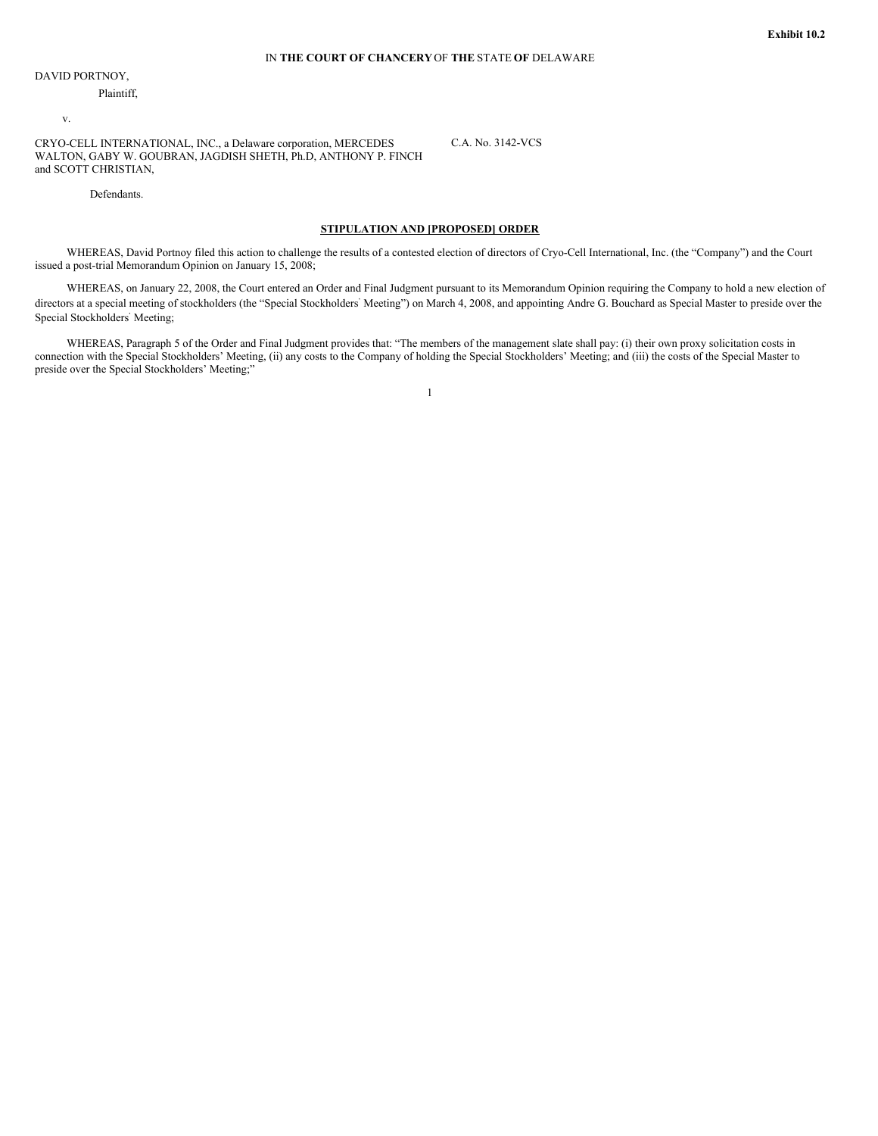C.A. No. 3142-VCS

DAVID PORTNOY,

Plaintiff,

v.

CRYO-CELL INTERNATIONAL, INC., a Delaware corporation, MERCEDES WALTON, GABY W. GOUBRAN, JAGDISH SHETH, Ph.D, ANTHONY P. FINCH and SCOTT CHRISTIAN,

Defendants.

## **STIPULATION AND [PROPOSED] ORDER**

WHEREAS, David Portnoy filed this action to challenge the results of a contested election of directors of Cryo-Cell International, Inc. (the "Company") and the Court issued a post-trial Memorandum Opinion on January 15, 2008;

WHEREAS, on January 22, 2008, the Court entered an Order and Final Judgment pursuant to its Memorandum Opinion requiring the Company to hold a new election of directors at a special meeting of stockholders (the "Special Stockholders' Meeting") on March 4, 2008, and appointing Andre G. Bouchard as Special Master to preside over the Special Stockholders ' Meeting;

WHEREAS, Paragraph 5 of the Order and Final Judgment provides that: "The members of the management slate shall pay: (i) their own proxy solicitation costs in connection with the Special Stockholders' Meeting, (ii) any costs to the Company of holding the Special Stockholders' Meeting; and (iii) the costs of the Special Master to preside over the Special Stockholders' Meeting;"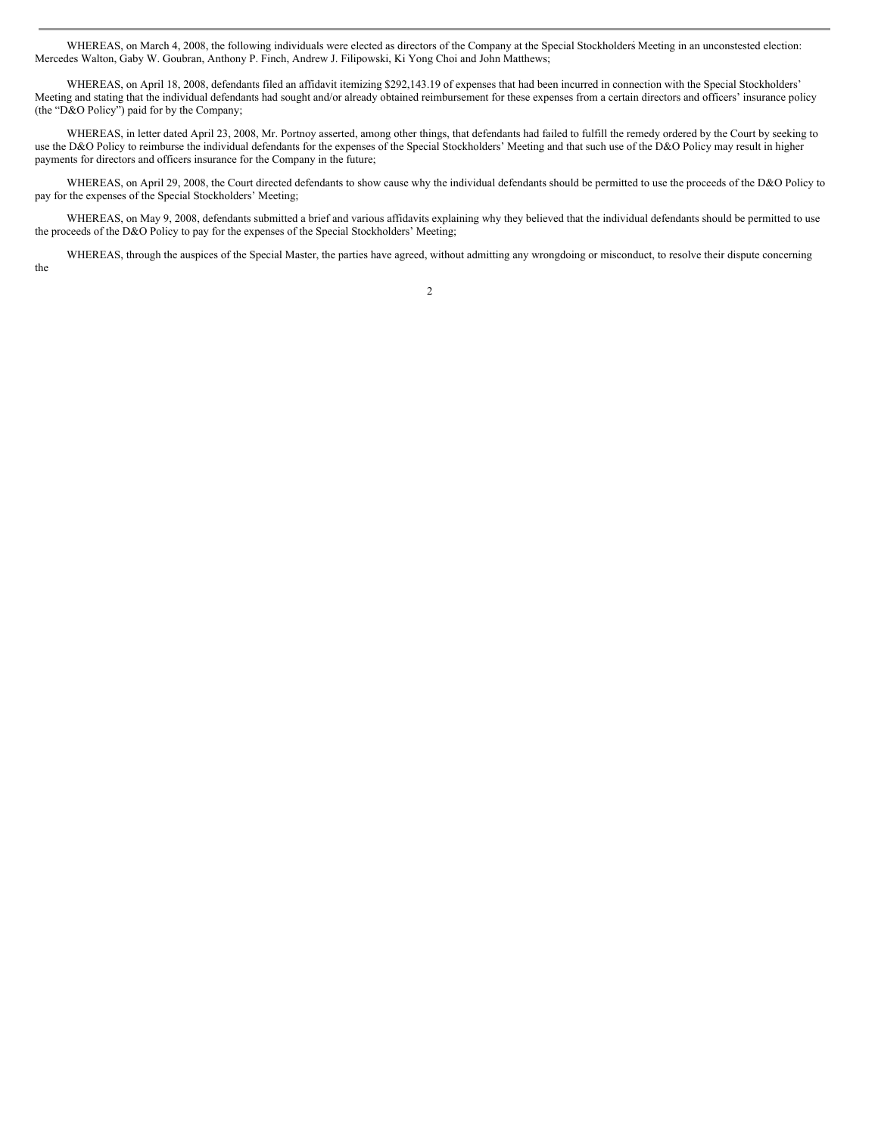WHEREAS, on March 4, 2008, the following individuals were elected as directors of the Company at the Special Stockholders Meeting in an unconstested election: Mercedes Walton, Gaby W. Goubran, Anthony P. Finch, Andrew J. Filipowski, Ki Yong Choi and John Matthews;

WHEREAS, on April 18, 2008, defendants filed an affidavit itemizing \$292,143.19 of expenses that had been incurred in connection with the Special Stockholders' Meeting and stating that the individual defendants had sought and/or already obtained reimbursement for these expenses from a certain directors and officers' insurance policy (the "D&O Policy") paid for by the Company;

WHEREAS, in letter dated April 23, 2008, Mr. Portnoy asserted, among other things, that defendants had failed to fulfill the remedy ordered by the Court by seeking to use the D&O Policy to reimburse the individual defendants for the expenses of the Special Stockholders' Meeting and that such use of the D&O Policy may result in higher payments for directors and officers insurance for the Company in the future;

WHEREAS, on April 29, 2008, the Court directed defendants to show cause why the individual defendants should be permitted to use the proceeds of the D&O Policy to pay for the expenses of the Special Stockholders' Meeting;

WHEREAS, on May 9, 2008, defendants submitted a brief and various affidavits explaining why they believed that the individual defendants should be permitted to use the proceeds of the D&O Policy to pay for the expenses of the Special Stockholders' Meeting;

WHEREAS, through the auspices of the Special Master, the parties have agreed, without admitting any wrongdoing or misconduct, to resolve their dispute concerning the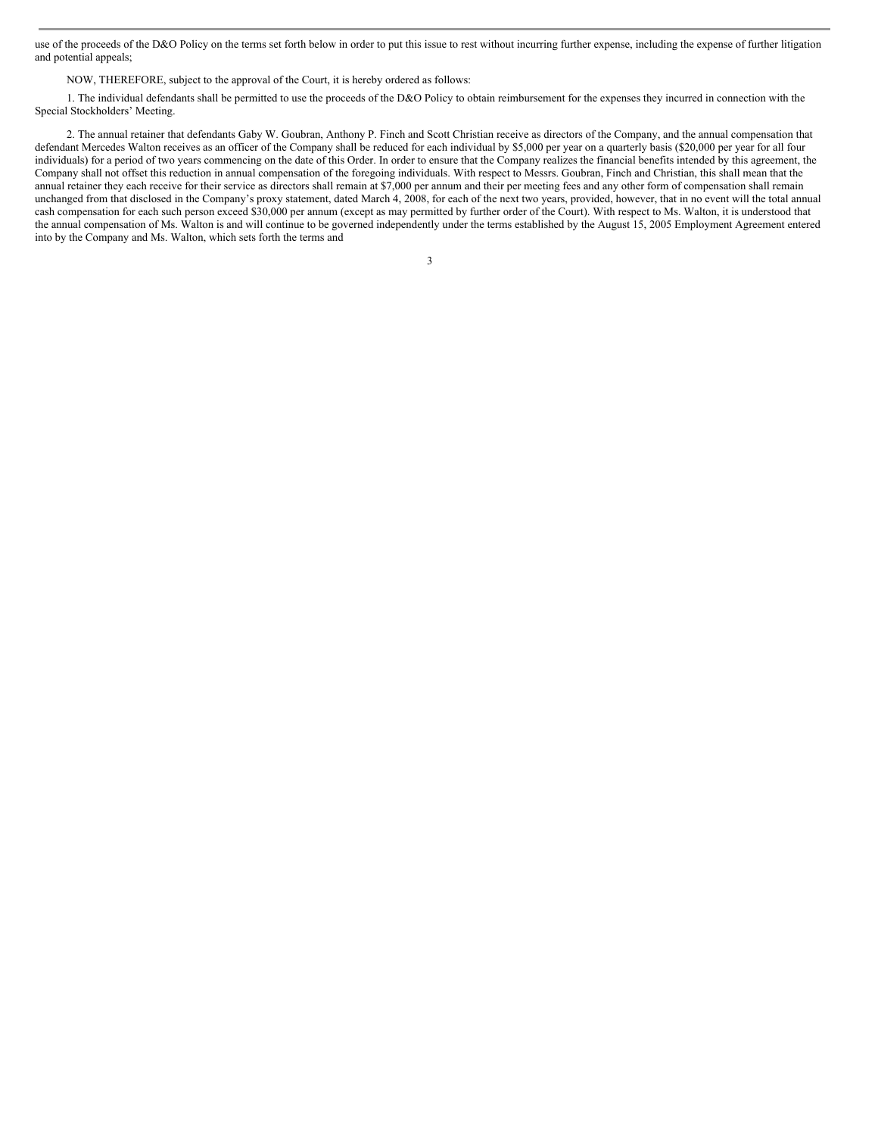use of the proceeds of the D&O Policy on the terms set forth below in order to put this issue to rest without incurring further expense, including the expense of further litigation and potential appeals;

NOW, THEREFORE, subject to the approval of the Court, it is hereby ordered as follows:

1. The individual defendants shall be permitted to use the proceeds of the D&O Policy to obtain reimbursement for the expenses they incurred in connection with the Special Stockholders' Meeting.

2. The annual retainer that defendants Gaby W. Goubran, Anthony P. Finch and Scott Christian receive as directors of the Company, and the annual compensation that defendant Mercedes Walton receives as an officer of the Company shall be reduced for each individual by \$5,000 per year on a quarterly basis (\$20,000 per year for all four individuals) for a period of two years commencing on the date of this Order. In order to ensure that the Company realizes the financial benefits intended by this agreement, the Company shall not offset this reduction in annual compensation of the foregoing individuals. With respect to Messrs. Goubran, Finch and Christian, this shall mean that the annual retainer they each receive for their service as directors shall remain at \$7,000 per annum and their per meeting fees and any other form of compensation shall remain unchanged from that disclosed in the Company's proxy statement, dated March 4, 2008, for each of the next two years, provided, however, that in no event will the total annual cash compensation for each such person exceed \$30,000 per annum (except as may permitted by further order of the Court). With respect to Ms. Walton, it is understood that the annual compensation of Ms. Walton is and will continue to be governed independently under the terms established by the August 15, 2005 Employment Agreement entered into by the Company and Ms. Walton, which sets forth the terms and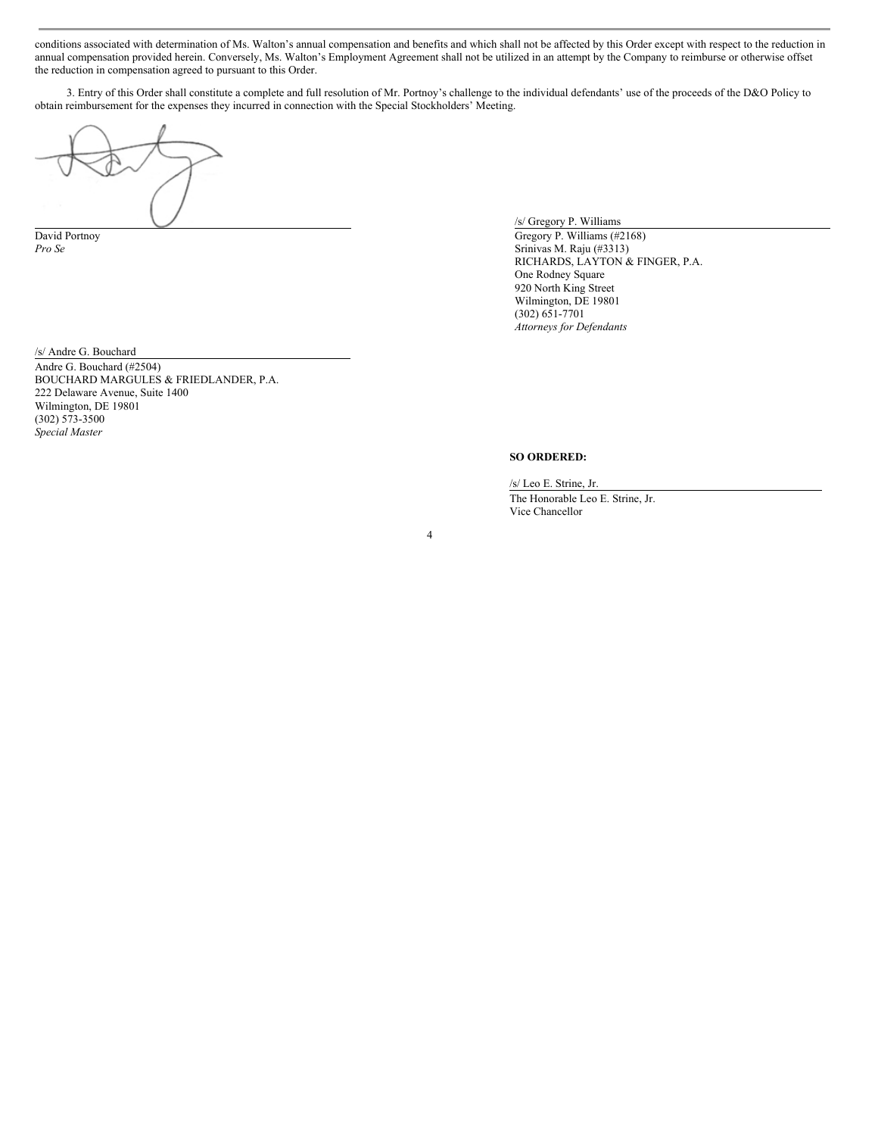conditions associated with determination of Ms. Walton's annual compensation and benefits and which shall not be affected by this Order except with respect to the reduction in annual compensation provided herein. Conversely, Ms. Walton's Employment Agreement shall not be utilized in an attempt by the Company to reimburse or otherwise offset the reduction in compensation agreed to pursuant to this Order.

3. Entry of this Order shall constitute a complete and full resolution of Mr. Portnoy's challenge to the individual defendants' use of the proceeds of the D&O Policy to obtain reimbursement for the expenses they incurred in connection with the Special Stockholders' Meeting.

4

/s/ Gregory P. Williams

David Portnoy Gregory P. Williams (#2168) *Pro Se* Srinivas M. Raju (#3313) RICHARDS, LAYTON & FINGER, P.A. One Rodney Square 920 North King Street Wilmington, DE 19801 (302) 651-7701 *Attorneys for Defendants*

/s/ Andre G. Bouchard Andre G. Bouchard (#2504) BOUCHARD MARGULES & FRIEDLANDER, P.A. 222 Delaware Avenue, Suite 1400 Wilmington, DE 19801 (302) 573-3500 *Special Master*

## **SO ORDERED:**

/s/ Leo E. Strine, Jr.

The Honorable Leo E. Strine, Jr. Vice Chancellor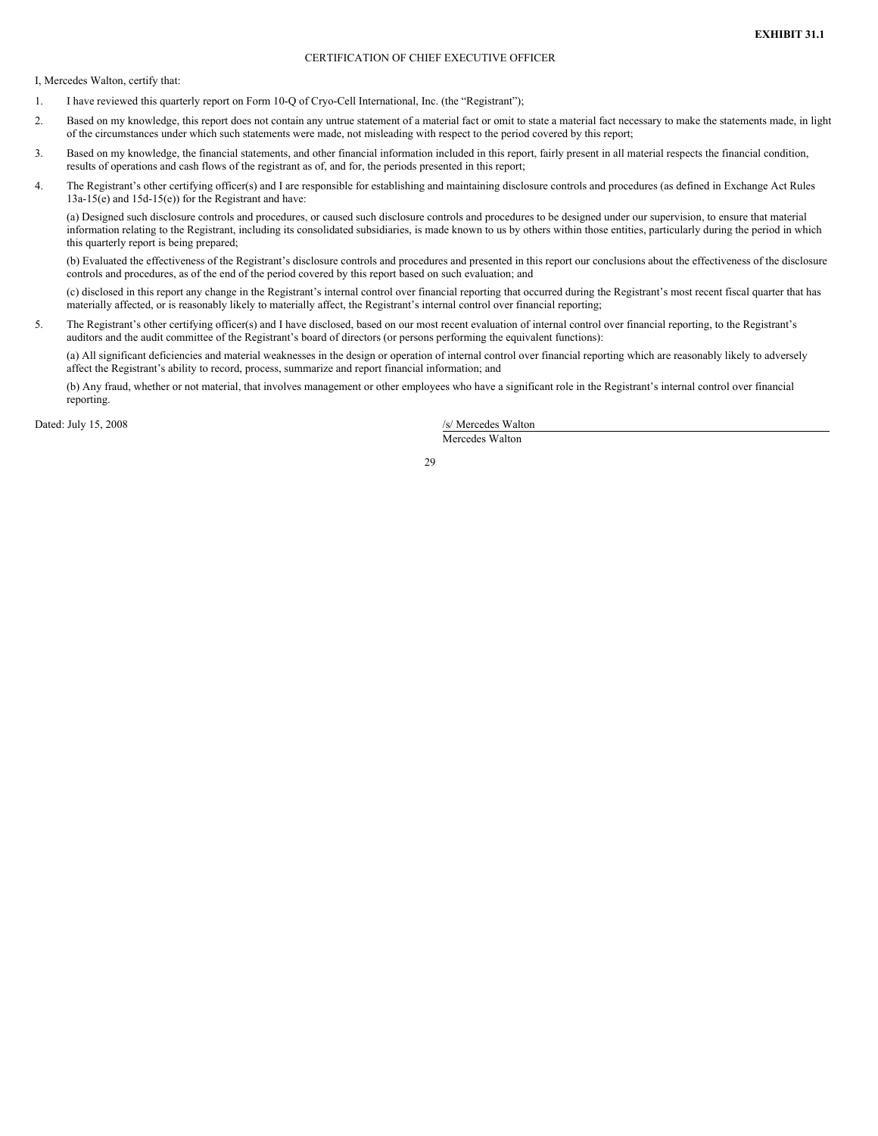## CERTIFICATION OF CHIEF EXECUTIVE OFFICER

I, Mercedes Walton, certify that:

- 1. I have reviewed this quarterly report on Form 10-Q of Cryo-Cell International, Inc. (the "Registrant");
- 2. Based on my knowledge, this report does not contain any untrue statement of a material fact or omit to state a material fact necessary to make the statements made, in light of the circumstances under which such statements were made, not misleading with respect to the period covered by this report;
- 3. Based on my knowledge, the financial statements, and other financial information included in this report, fairly present in all material respects the financial condition, results of operations and cash flows of the registrant as of, and for, the periods presented in this report;
- 4. The Registrant's other certifying officer(s) and I are responsible for establishing and maintaining disclosure controls and procedures (as defined in Exchange Act Rules 13a-15(e) and 15d-15(e)) for the Registrant and have:

(a) Designed such disclosure controls and procedures, or caused such disclosure controls and procedures to be designed under our supervision, to ensure that material information relating to the Registrant, including its consolidated subsidiaries, is made known to us by others within those entities, particularly during the period in which this quarterly report is being prepared;

(b) Evaluated the effectiveness of the Registrant's disclosure controls and procedures and presented in this report our conclusions about the effectiveness of the disclosure controls and procedures, as of the end of the period covered by this report based on such evaluation; and

(c) disclosed in this report any change in the Registrant's internal control over financial reporting that occurred during the Registrant's most recent fiscal quarter that has materially affected, or is reasonably likely to materially affect, the Registrant's internal control over financial reporting;

5. The Registrant's other certifying officer(s) and I have disclosed, based on our most recent evaluation of internal control over financial reporting, to the Registrant's auditors and the audit committee of the Registrant's board of directors (or persons performing the equivalent functions):

(a) All significant deficiencies and material weaknesses in the design or operation of internal control over financial reporting which are reasonably likely to adversely affect the Registrant's ability to record, process, summarize and report financial information; and

(b) Any fraud, whether or not material, that involves management or other employees who have a significant role in the Registrant's internal control over financial reporting.

Dated: July 15, 2008 /s/ Mercedes Walton

Mercedes Walton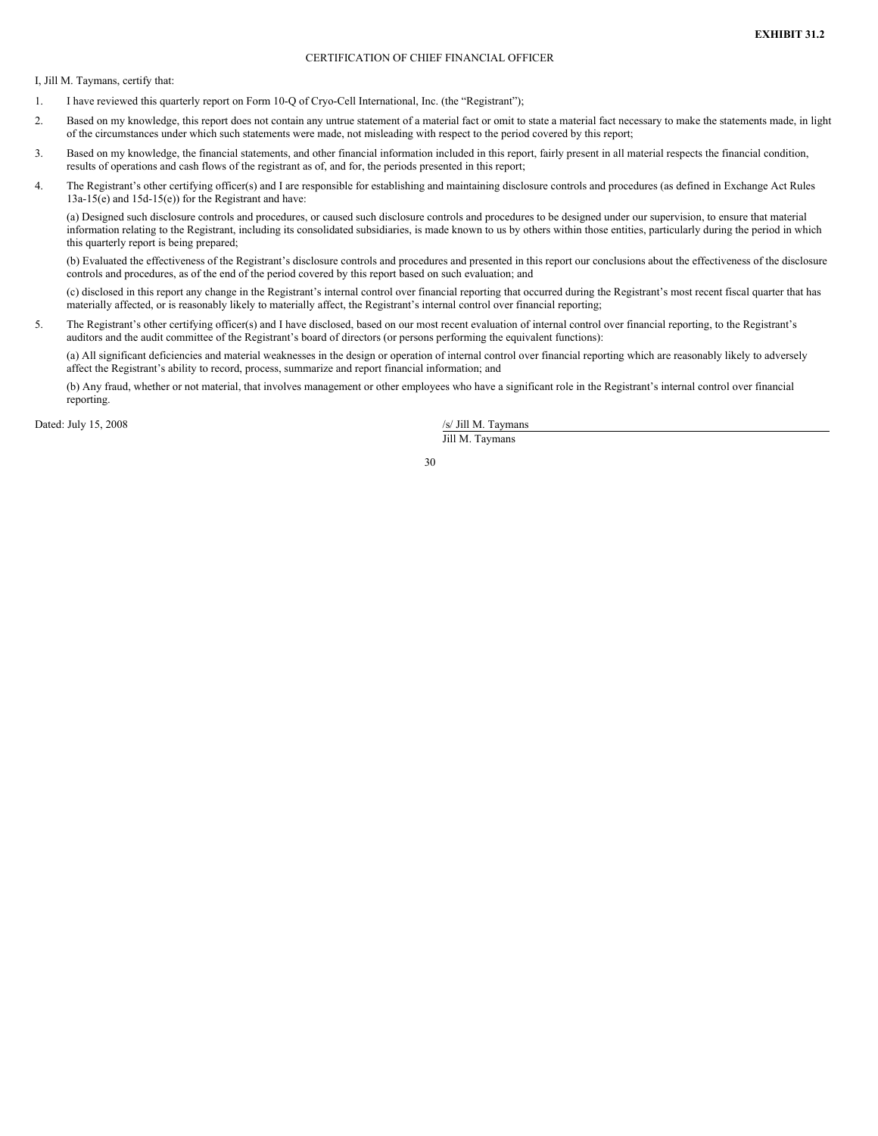## CERTIFICATION OF CHIEF FINANCIAL OFFICER

I, Jill M. Taymans, certify that:

- 1. I have reviewed this quarterly report on Form 10-Q of Cryo-Cell International, Inc. (the "Registrant");
- 2. Based on my knowledge, this report does not contain any untrue statement of a material fact or omit to state a material fact necessary to make the statements made, in light of the circumstances under which such statements were made, not misleading with respect to the period covered by this report;
- 3. Based on my knowledge, the financial statements, and other financial information included in this report, fairly present in all material respects the financial condition, results of operations and cash flows of the registrant as of, and for, the periods presented in this report;
- 4. The Registrant's other certifying officer(s) and I are responsible for establishing and maintaining disclosure controls and procedures (as defined in Exchange Act Rules 13a-15(e) and 15d-15(e)) for the Registrant and have:

(a) Designed such disclosure controls and procedures, or caused such disclosure controls and procedures to be designed under our supervision, to ensure that material information relating to the Registrant, including its consolidated subsidiaries, is made known to us by others within those entities, particularly during the period in which this quarterly report is being prepared;

(b) Evaluated the effectiveness of the Registrant's disclosure controls and procedures and presented in this report our conclusions about the effectiveness of the disclosure controls and procedures, as of the end of the period covered by this report based on such evaluation; and

(c) disclosed in this report any change in the Registrant's internal control over financial reporting that occurred during the Registrant's most recent fiscal quarter that has materially affected, or is reasonably likely to materially affect, the Registrant's internal control over financial reporting;

5. The Registrant's other certifying officer(s) and I have disclosed, based on our most recent evaluation of internal control over financial reporting, to the Registrant's auditors and the audit committee of the Registrant's board of directors (or persons performing the equivalent functions):

(a) All significant deficiencies and material weaknesses in the design or operation of internal control over financial reporting which are reasonably likely to adversely affect the Registrant's ability to record, process, summarize and report financial information; and

(b) Any fraud, whether or not material, that involves management or other employees who have a significant role in the Registrant's internal control over financial reporting.

Dated: July 15, 2008 /s/ Jill M. Taymans

Jill M. Taymans